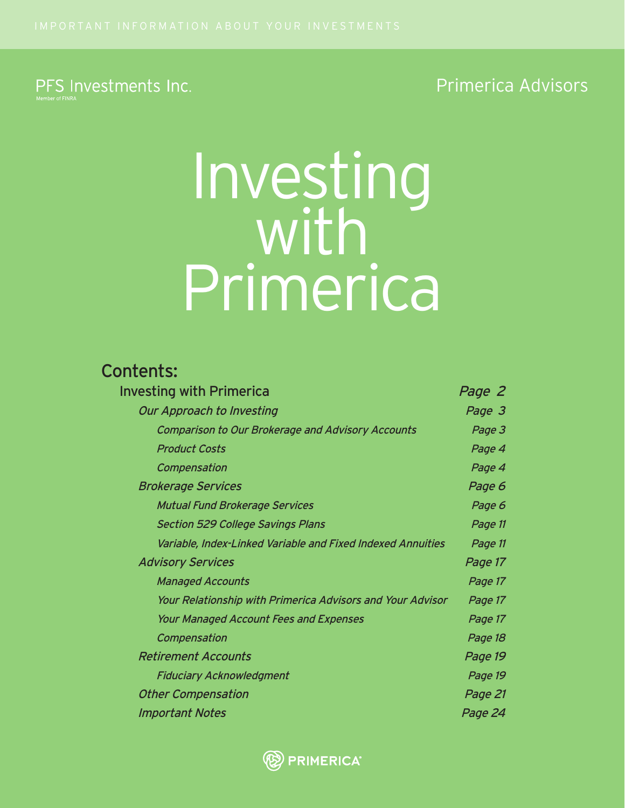# PFS Investments Inc.

# Primerica Advisors

# Investing<br>with Primerica

# Contents:

| Investing with Primerica                                    | Page 2  |
|-------------------------------------------------------------|---------|
| Our Approach to Investing                                   | Page 3  |
| <b>Comparison to Our Brokerage and Advisory Accounts</b>    | Page 3  |
| <b>Product Costs</b>                                        | Page 4  |
| Compensation                                                | Page 4  |
| <b>Brokerage Services</b>                                   | Page 6  |
| <b>Mutual Fund Brokerage Services</b>                       | Page 6  |
| <b>Section 529 College Savings Plans</b>                    | Page 11 |
| Variable, Index-Linked Variable and Fixed Indexed Annuities | Page 11 |
| <b>Advisory Services</b>                                    | Page 17 |
| <b>Managed Accounts</b>                                     | Page 17 |
| Your Relationship with Primerica Advisors and Your Advisor  | Page 17 |
| <b>Your Managed Account Fees and Expenses</b>               | Page 17 |
| Compensation                                                | Page 18 |
| <b>Retirement Accounts</b>                                  | Page 19 |
| <b>Fiduciary Acknowledgment</b>                             | Page 19 |
| <b>Other Compensation</b>                                   | Page 21 |
| <b>Important Notes</b>                                      | Page 24 |

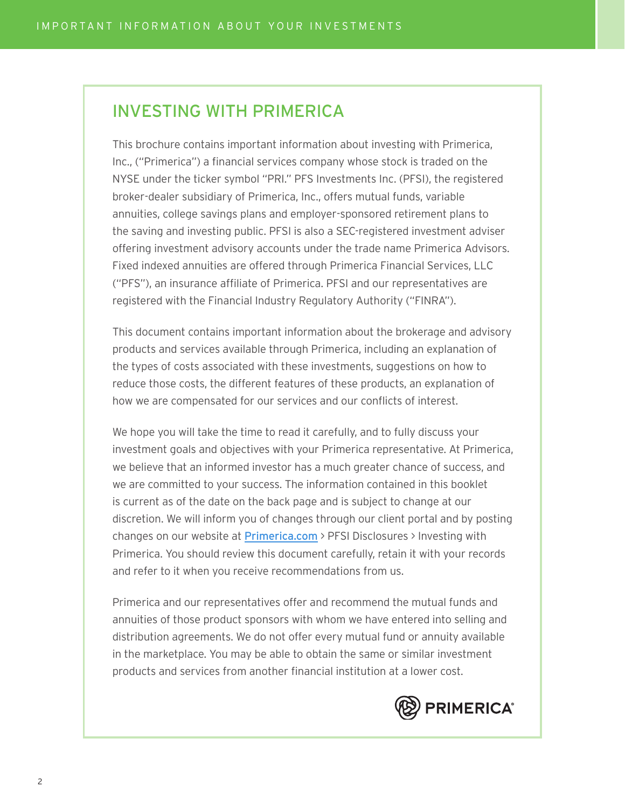# INVESTING WITH PRIMERICA

This brochure contains important information about investing with Primerica, Inc., ("Primerica") a financial services company whose stock is traded on the NYSE under the ticker symbol "PRI." PFS Investments Inc. (PFSI), the registered broker-dealer subsidiary of Primerica, Inc., offers mutual funds, variable annuities, college savings plans and employer-sponsored retirement plans to the saving and investing public. PFSI is also a SEC-registered investment adviser offering investment advisory accounts under the trade name Primerica Advisors. Fixed indexed annuities are offered through Primerica Financial Services, LLC ("PFS"), an insurance affiliate of Primerica. PFSI and our representatives are registered with the Financial Industry Regulatory Authority ("FINRA").

This document contains important information about the brokerage and advisory products and services available through Primerica, including an explanation of the types of costs associated with these investments, suggestions on how to reduce those costs, the different features of these products, an explanation of how we are compensated for our services and our conflicts of interest.

We hope you will take the time to read it carefully, and to fully discuss your investment goals and objectives with your Primerica representative. At Primerica, we believe that an informed investor has a much greater chance of success, and we are committed to your success. The information contained in this booklet is current as of the date on the back page and is subject to change at our discretion. We will inform you of changes through our client portal and by posting changes on our website at **Primerica.com** > PFSI Disclosures > Investing with Primerica. You should review this document carefully, retain it with your records and refer to it when you receive recommendations from us.

Primerica and our representatives offer and recommend the mutual funds and annuities of those product sponsors with whom we have entered into selling and distribution agreements. We do not offer every mutual fund or annuity available in the marketplace. You may be able to obtain the same or similar investment products and services from another financial institution at a lower cost.

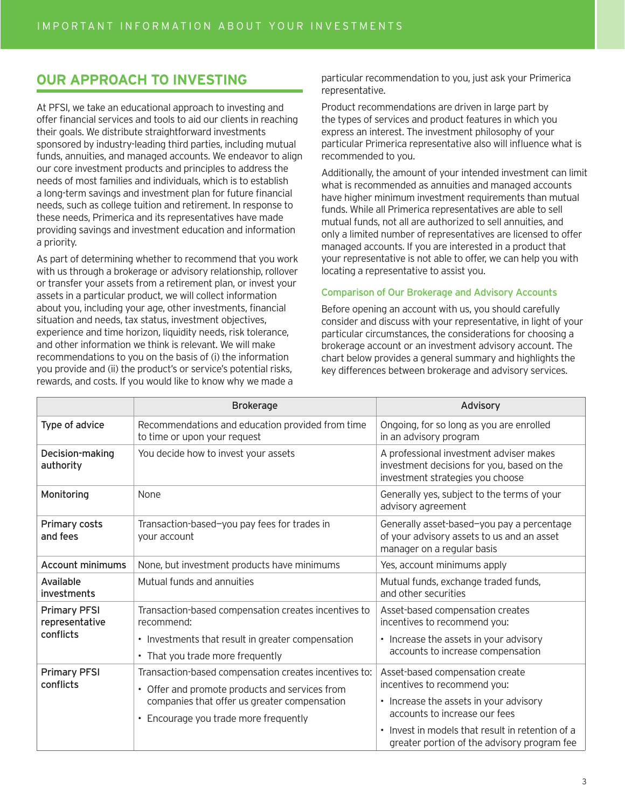# **OUR APPROACH TO INVESTING**

At PFSI, we take an educational approach to investing and offer financial services and tools to aid our clients in reaching their goals. We distribute straightforward investments sponsored by industry-leading third parties, including mutual funds, annuities, and managed accounts. We endeavor to align our core investment products and principles to address the needs of most families and individuals, which is to establish a long-term savings and investment plan for future financial needs, such as college tuition and retirement. In response to these needs, Primerica and its representatives have made providing savings and investment education and information a priority.

As part of determining whether to recommend that you work with us through a brokerage or advisory relationship, rollover or transfer your assets from a retirement plan, or invest your assets in a particular product, we will collect information about you, including your age, other investments, financial situation and needs, tax status, investment objectives, experience and time horizon, liquidity needs, risk tolerance, and other information we think is relevant. We will make recommendations to you on the basis of (i) the information you provide and (ii) the product's or service's potential risks, rewards, and costs. If you would like to know why we made a

particular recommendation to you, just ask your Primerica representative.

Product recommendations are driven in large part by the types of services and product features in which you express an interest. The investment philosophy of your particular Primerica representative also will influence what is recommended to you.

Additionally, the amount of your intended investment can limit what is recommended as annuities and managed accounts have higher minimum investment requirements than mutual funds. While all Primerica representatives are able to sell mutual funds, not all are authorized to sell annuities, and only a limited number of representatives are licensed to offer managed accounts. If you are interested in a product that your representative is not able to offer, we can help you with locating a representative to assist you.

### Comparison of Our Brokerage and Advisory Accounts

Before opening an account with us, you should carefully consider and discuss with your representative, in light of your particular circumstances, the considerations for choosing a brokerage account or an investment advisory account. The chart below provides a general summary and highlights the key differences between brokerage and advisory services.

|                                       | <b>Brokerage</b>                                                                                                                                                                                 | Advisory                                                                                                                                                                                                                                      |
|---------------------------------------|--------------------------------------------------------------------------------------------------------------------------------------------------------------------------------------------------|-----------------------------------------------------------------------------------------------------------------------------------------------------------------------------------------------------------------------------------------------|
| Type of advice                        | Recommendations and education provided from time<br>to time or upon your request                                                                                                                 | Ongoing, for so long as you are enrolled<br>in an advisory program                                                                                                                                                                            |
| Decision-making<br>authority          | You decide how to invest your assets                                                                                                                                                             | A professional investment adviser makes<br>investment decisions for you, based on the<br>investment strategies you choose                                                                                                                     |
| Monitoring                            | None                                                                                                                                                                                             | Generally yes, subject to the terms of your<br>advisory agreement                                                                                                                                                                             |
| Primary costs<br>and fees             | Transaction-based-you pay fees for trades in<br>your account                                                                                                                                     | Generally asset-based-you pay a percentage<br>of your advisory assets to us and an asset<br>manager on a regular basis                                                                                                                        |
| <b>Account minimums</b>               | None, but investment products have minimums                                                                                                                                                      | Yes, account minimums apply                                                                                                                                                                                                                   |
| Available<br>investments              | Mutual funds and annuities                                                                                                                                                                       | Mutual funds, exchange traded funds,<br>and other securities                                                                                                                                                                                  |
| <b>Primary PFSI</b><br>representative | Transaction-based compensation creates incentives to<br>recommend:                                                                                                                               | Asset-based compensation creates<br>incentives to recommend you:                                                                                                                                                                              |
| conflicts                             | • Investments that result in greater compensation<br>• That you trade more frequently                                                                                                            | • Increase the assets in your advisory<br>accounts to increase compensation                                                                                                                                                                   |
| <b>Primary PFSI</b><br>conflicts      | Transaction-based compensation creates incentives to:<br>• Offer and promote products and services from<br>companies that offer us greater compensation<br>• Encourage you trade more frequently | Asset-based compensation create<br>incentives to recommend you:<br>• Increase the assets in your advisory<br>accounts to increase our fees<br>• Invest in models that result in retention of a<br>greater portion of the advisory program fee |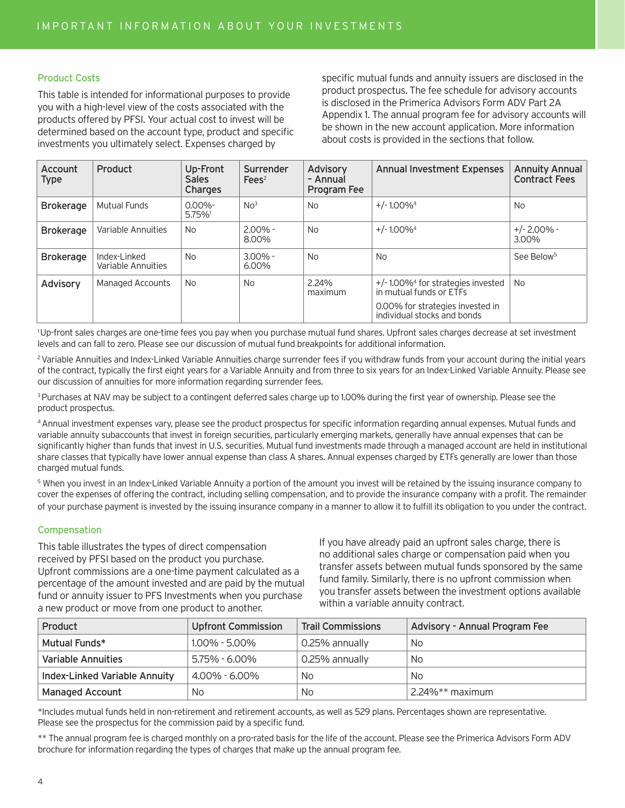### Product Costs

This table is intended for informational purposes to provide you with a high-level view of the costs associated with the products offered by PFSI. Your actual cost to invest will be determined based on the account type, product and specific investments you ultimately select. Expenses charged by

specific mutual funds and annuity issuers are disclosed in the product prospectus. The fee schedule for advisory accounts is disclosed in the Primerica Advisors Form ADV Part 2A Appendix 1. The annual program fee for advisory accounts will be shown in the new account application. More information about costs is provided in the sections that follow.

| Account<br><b>Type</b> | Product                            | Up-Front<br><b>Sales</b><br>Charges | Surrender<br>Fees <sup>2</sup> | <b>Advisory</b><br>- Annual<br>Program Fee | <b>Annual Investment Expenses</b>                                           | <b>Annuity Annual</b><br><b>Contract Fees</b> |
|------------------------|------------------------------------|-------------------------------------|--------------------------------|--------------------------------------------|-----------------------------------------------------------------------------|-----------------------------------------------|
| <b>Brokerage</b>       | Mutual Funds                       | $0.00\%$ -<br>5.75%                 | No <sup>3</sup>                | <b>No</b>                                  | $+/-1.00\%$ <sup>4</sup>                                                    | <b>No</b>                                     |
| <b>Brokerage</b>       | Variable Annuities                 | No.                                 | $2.00\%$ -<br>8.00%            | <b>No</b>                                  | $+/-1.00\%$ <sup>4</sup>                                                    | $+/- 2.00\%$ -<br>3.00%                       |
| <b>Brokerage</b>       | Index-Linked<br>Variable Annuities | <b>No</b>                           | $3.00\%$ -<br>$6.00\%$         | <b>No</b>                                  | <b>No</b>                                                                   | See Below <sup>5</sup>                        |
| Advisory               | Managed Accounts                   | No.                                 | <b>No</b>                      | 2.24%<br>maximum                           | $+/-1.00\%$ <sup>4</sup> for strategies invested<br>in mutual funds or ETFs | <b>No</b>                                     |
|                        |                                    |                                     |                                |                                            | 0.00% for strategies invested in<br>individual stocks and bonds             |                                               |

1 Up-front sales charges are one-time fees you pay when you purchase mutual fund shares. Upfront sales charges decrease at set investment levels and can fall to zero. Please see our discussion of mutual fund breakpoints for additional information.

<sup>2</sup> Variable Annuities and Index-Linked Variable Annuities charge surrender fees if you withdraw funds from your account during the initial years of the contract, typically the first eight years for a Variable Annuity and from three to six years for an Index-Linked Variable Annuity. Please see our discussion of annuities for more information regarding surrender fees.

<sup>3</sup> Purchases at NAV may be subject to a contingent deferred sales charge up to 1.00% during the first year of ownership. Please see the product prospectus.

4 Annual investment expenses vary, please see the product prospectus for specific information regarding annual expenses. Mutual funds and variable annuity subaccounts that invest in foreign securities, particularly emerging markets, generally have annual expenses that can be significantly higher than funds that invest in U.S. securities. Mutual fund investments made through a managed account are held in institutional share classes that typically have lower annual expense than class A shares. Annual expenses charged by ETFs generally are lower than those charged mutual funds.

<sup>5</sup> When you invest in an Index-Linked Variable Annuity a portion of the amount you invest will be retained by the issuing insurance company to cover the expenses of offering the contract, including selling compensation, and to provide the insurance company with a profit. The remainder of your purchase payment is invested by the issuing insurance company in a manner to allow it to fulfill its obligation to you under the contract.

### Compensation

This table illustrates the types of direct compensation received by PFSI based on the product you purchase. Upfront commissions are a one-time payment calculated as a percentage of the amount invested and are paid by the mutual fund or annuity issuer to PFS Investments when you purchase a new product or move from one product to another.

If you have already paid an upfront sales charge, there is no additional sales charge or compensation paid when you transfer assets between mutual funds sponsored by the same fund family. Similarly, there is no upfront commission when you transfer assets between the investment options available within a variable annuity contract.

| Product                              | <b>Upfront Commission</b> | <b>Trail Commissions</b> | Advisory - Annual Program Fee |
|--------------------------------------|---------------------------|--------------------------|-------------------------------|
| Mutual Funds*                        | $1.00\% - 5.00\%$         | 0.25% annually           | No.                           |
| Variable Annuities                   | 5.75% - 6.00%             | 0.25% annually           | No.                           |
| <b>Index-Linked Variable Annuity</b> | 4.00% - 6.00%             | No                       | No.                           |
| <b>Managed Account</b>               | No.                       | No                       | $^{\circ}$ 2.24%** maximum    |

\*Includes mutual funds held in non-retirement and retirement accounts, as well as 529 plans. Percentages shown are representative. Please see the prospectus for the commission paid by a specific fund.

\*\* The annual program fee is charged monthly on a pro-rated basis for the life of the account. Please see the Primerica Advisors Form ADV brochure for information regarding the types of charges that make up the annual program fee.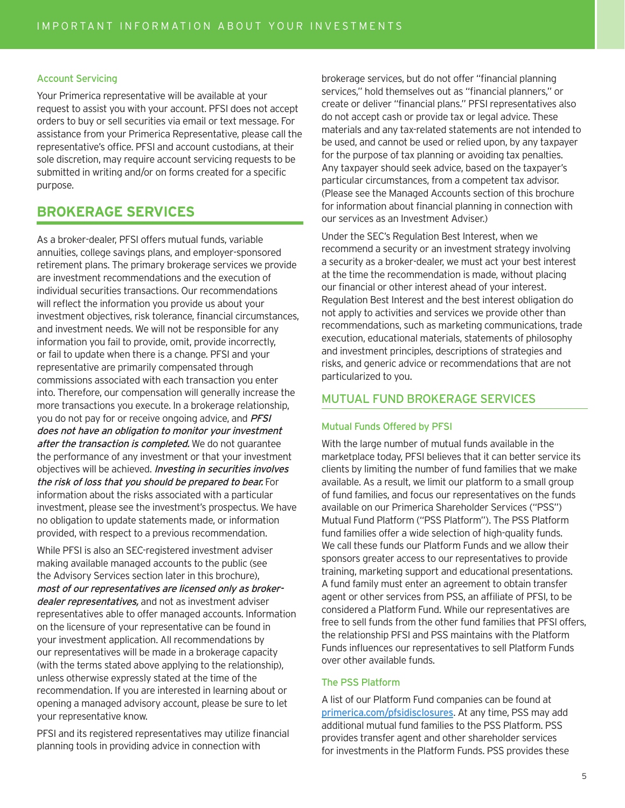### Account Servicing

Your Primerica representative will be available at your request to assist you with your account. PFSI does not accept orders to buy or sell securities via email or text message. For assistance from your Primerica Representative, please call the representative's office. PFSI and account custodians, at their sole discretion, may require account servicing requests to be submitted in writing and/or on forms created for a specific purpose.

## **BROKERAGE SERVICES**

As a broker-dealer, PFSI offers mutual funds, variable annuities, college savings plans, and employer-sponsored retirement plans. The primary brokerage services we provide are investment recommendations and the execution of individual securities transactions. Our recommendations will reflect the information you provide us about your investment objectives, risk tolerance, financial circumstances, and investment needs. We will not be responsible for any information you fail to provide, omit, provide incorrectly, or fail to update when there is a change. PFSI and your representative are primarily compensated through commissions associated with each transaction you enter into. Therefore, our compensation will generally increase the more transactions you execute. In a brokerage relationship, you do not pay for or receive ongoing advice, and **PFSI** does not have an obligation to monitor your investment after the transaction is completed. We do not quarantee the performance of any investment or that your investment objectives will be achieved. Investing in securities involves the risk of loss that you should be prepared to bear. For information about the risks associated with a particular investment, please see the investment's prospectus. We have no obligation to update statements made, or information provided, with respect to a previous recommendation.

While PFSI is also an SEC-registered investment adviser making available managed accounts to the public (see the Advisory Services section later in this brochure), most of our representatives are licensed only as brokerdealer representatives, and not as investment adviser representatives able to offer managed accounts. Information on the licensure of your representative can be found in your investment application. All recommendations by our representatives will be made in a brokerage capacity (with the terms stated above applying to the relationship), unless otherwise expressly stated at the time of the recommendation. If you are interested in learning about or opening a managed advisory account, please be sure to let your representative know.

PFSI and its registered representatives may utilize financial planning tools in providing advice in connection with

brokerage services, but do not offer "financial planning services," hold themselves out as "financial planners," or create or deliver "financial plans." PFSI representatives also do not accept cash or provide tax or legal advice. These materials and any tax-related statements are not intended to be used, and cannot be used or relied upon, by any taxpayer for the purpose of tax planning or avoiding tax penalties. Any taxpayer should seek advice, based on the taxpayer's particular circumstances, from a competent tax advisor. (Please see the Managed Accounts section of this brochure for information about financial planning in connection with our services as an Investment Adviser.)

Under the SEC's Regulation Best Interest, when we recommend a security or an investment strategy involving a security as a broker-dealer, we must act your best interest at the time the recommendation is made, without placing our financial or other interest ahead of your interest. Regulation Best Interest and the best interest obligation do not apply to activities and services we provide other than recommendations, such as marketing communications, trade execution, educational materials, statements of philosophy and investment principles, descriptions of strategies and risks, and generic advice or recommendations that are not particularized to you.

### MUTUAL FUND BROKERAGE SERVICES

### Mutual Funds Offered by PFSI

With the large number of mutual funds available in the marketplace today, PFSI believes that it can better service its clients by limiting the number of fund families that we make available. As a result, we limit our platform to a small group of fund families, and focus our representatives on the funds available on our Primerica Shareholder Services ("PSS") Mutual Fund Platform ("PSS Platform"). The PSS Platform fund families offer a wide selection of high-quality funds. We call these funds our Platform Funds and we allow their sponsors greater access to our representatives to provide training, marketing support and educational presentations. A fund family must enter an agreement to obtain transfer agent or other services from PSS, an affiliate of PFSI, to be considered a Platform Fund. While our representatives are free to sell funds from the other fund families that PFSI offers, the relationship PFSI and PSS maintains with the Platform Funds influences our representatives to sell Platform Funds over other available funds.

### The PSS Platform

A list of our Platform Fund companies can be found at primerica.com/pfsidisclosures</u>. At any time, PSS may add additional mutual fund families to the PSS Platform. PSS provides transfer agent and other shareholder services for investments in the Platform Funds. PSS provides these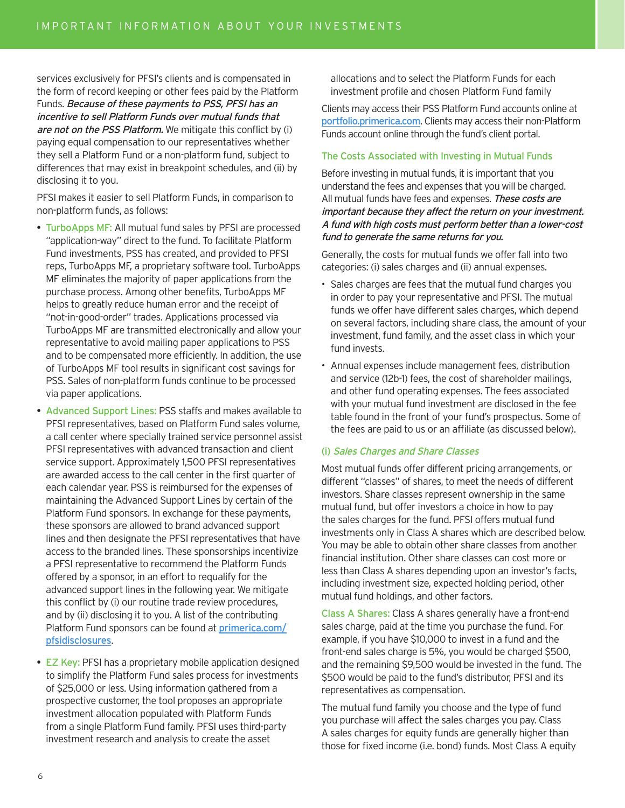services exclusively for PFSI's clients and is compensated in the form of record keeping or other fees paid by the Platform Funds. Because of these payments to PSS, PFSI has an incentive to sell Platform Funds over mutual funds that are not on the PSS Platform. We mitigate this conflict by (i) paying equal compensation to our representatives whether they sell a Platform Fund or a non-platform fund, subject to differences that may exist in breakpoint schedules, and (ii) by disclosing it to you.

PFSI makes it easier to sell Platform Funds, in comparison to non-platform funds, as follows:

- TurboApps MF: All mutual fund sales by PFSI are processed "application-way" direct to the fund. To facilitate Platform Fund investments, PSS has created, and provided to PFSI reps, TurboApps MF, a proprietary software tool. TurboApps MF eliminates the majority of paper applications from the purchase process. Among other benefits, TurboApps MF helps to greatly reduce human error and the receipt of "not-in-good-order" trades. Applications processed via TurboApps MF are transmitted electronically and allow your representative to avoid mailing paper applications to PSS and to be compensated more efficiently. In addition, the use of TurboApps MF tool results in significant cost savings for PSS. Sales of non-platform funds continue to be processed via paper applications.
- Advanced Support Lines: PSS staffs and makes available to PFSI representatives, based on Platform Fund sales volume, a call center where specially trained service personnel assist PFSI representatives with advanced transaction and client service support. Approximately 1,500 PFSI representatives are awarded access to the call center in the first quarter of each calendar year. PSS is reimbursed for the expenses of maintaining the Advanced Support Lines by certain of the Platform Fund sponsors. In exchange for these payments, these sponsors are allowed to brand advanced support lines and then designate the PFSI representatives that have access to the branded lines. These sponsorships incentivize a PFSI representative to recommend the Platform Funds offered by a sponsor, in an effort to requalify for the advanced support lines in the following year. We mitigate this conflict by (i) our routine trade review procedures, and by (ii) disclosing it to you. A list of the contributing Platform Fund sponsors can be found at *primerica.com/* pfsidisclosures.
- EZ Key: PFSI has a proprietary mobile application designed to simplify the Platform Fund sales process for investments of \$25,000 or less. Using information gathered from a prospective customer, the tool proposes an appropriate investment allocation populated with Platform Funds from a single Platform Fund family. PFSI uses third-party investment research and analysis to create the asset

allocations and to select the Platform Funds for each investment profile and chosen Platform Fund family

Clients may access their PSS Platform Fund accounts online at portfolio.primerica.com. Clients may access their non-Platform Funds account online through the fund's client portal.

### The Costs Associated with Investing in Mutual Funds

Before investing in mutual funds, it is important that you understand the fees and expenses that you will be charged. All mutual funds have fees and expenses. These costs are important because they affect the return on your investment. A fund with high costs must perform better than a lower-cost fund to generate the same returns for you.

Generally, the costs for mutual funds we offer fall into two categories: (i) sales charges and (ii) annual expenses.

- Sales charges are fees that the mutual fund charges you in order to pay your representative and PFSI. The mutual funds we offer have different sales charges, which depend on several factors, including share class, the amount of your investment, fund family, and the asset class in which your fund invests.
- Annual expenses include management fees, distribution and service (12b-1) fees, the cost of shareholder mailings, and other fund operating expenses. The fees associated with your mutual fund investment are disclosed in the fee table found in the front of your fund's prospectus. Some of the fees are paid to us or an affiliate (as discussed below).

### (i) Sales Charges and Share Classes

Most mutual funds offer different pricing arrangements, or different "classes" of shares, to meet the needs of different investors. Share classes represent ownership in the same mutual fund, but offer investors a choice in how to pay the sales charges for the fund. PFSI offers mutual fund investments only in Class A shares which are described below. You may be able to obtain other share classes from another financial institution. Other share classes can cost more or less than Class A shares depending upon an investor's facts, including investment size, expected holding period, other mutual fund holdings, and other factors.

Class A Shares: Class A shares generally have a front-end sales charge, paid at the time you purchase the fund. For example, if you have \$10,000 to invest in a fund and the front-end sales charge is 5%, you would be charged \$500, and the remaining \$9,500 would be invested in the fund. The \$500 would be paid to the fund's distributor, PFSI and its representatives as compensation.

The mutual fund family you choose and the type of fund you purchase will affect the sales charges you pay. Class A sales charges for equity funds are generally higher than those for fixed income (i.e. bond) funds. Most Class A equity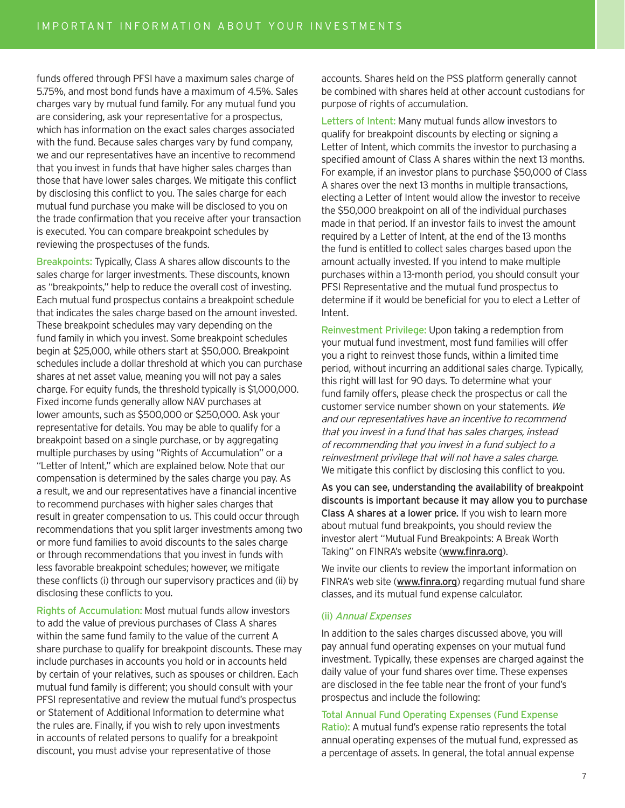funds offered through PFSI have a maximum sales charge of 5.75%, and most bond funds have a maximum of 4.5%. Sales charges vary by mutual fund family. For any mutual fund you are considering, ask your representative for a prospectus, which has information on the exact sales charges associated with the fund. Because sales charges vary by fund company, we and our representatives have an incentive to recommend that you invest in funds that have higher sales charges than those that have lower sales charges. We mitigate this conflict by disclosing this conflict to you. The sales charge for each mutual fund purchase you make will be disclosed to you on the trade confirmation that you receive after your transaction is executed. You can compare breakpoint schedules by reviewing the prospectuses of the funds.

Breakpoints: Typically, Class A shares allow discounts to the sales charge for larger investments. These discounts, known as "breakpoints," help to reduce the overall cost of investing. Each mutual fund prospectus contains a breakpoint schedule that indicates the sales charge based on the amount invested. These breakpoint schedules may vary depending on the fund family in which you invest. Some breakpoint schedules begin at \$25,000, while others start at \$50,000. Breakpoint schedules include a dollar threshold at which you can purchase shares at net asset value, meaning you will not pay a sales charge. For equity funds, the threshold typically is \$1,000,000. Fixed income funds generally allow NAV purchases at lower amounts, such as \$500,000 or \$250,000. Ask your representative for details. You may be able to qualify for a breakpoint based on a single purchase, or by aggregating multiple purchases by using "Rights of Accumulation" or a "Letter of Intent," which are explained below. Note that our compensation is determined by the sales charge you pay. As a result, we and our representatives have a financial incentive to recommend purchases with higher sales charges that result in greater compensation to us. This could occur through recommendations that you split larger investments among two or more fund families to avoid discounts to the sales charge or through recommendations that you invest in funds with less favorable breakpoint schedules; however, we mitigate these conflicts (i) through our supervisory practices and (ii) by disclosing these conflicts to you.

Rights of Accumulation: Most mutual funds allow investors to add the value of previous purchases of Class A shares within the same fund family to the value of the current A share purchase to qualify for breakpoint discounts. These may include purchases in accounts you hold or in accounts held by certain of your relatives, such as spouses or children. Each mutual fund family is different; you should consult with your PFSI representative and review the mutual fund's prospectus or Statement of Additional Information to determine what the rules are. Finally, if you wish to rely upon investments in accounts of related persons to qualify for a breakpoint discount, you must advise your representative of those

accounts. Shares held on the PSS platform generally cannot be combined with shares held at other account custodians for purpose of rights of accumulation.

Letters of Intent: Many mutual funds allow investors to qualify for breakpoint discounts by electing or signing a Letter of Intent, which commits the investor to purchasing a specified amount of Class A shares within the next 13 months. For example, if an investor plans to purchase \$50,000 of Class A shares over the next 13 months in multiple transactions, electing a Letter of Intent would allow the investor to receive the \$50,000 breakpoint on all of the individual purchases made in that period. If an investor fails to invest the amount required by a Letter of Intent, at the end of the 13 months the fund is entitled to collect sales charges based upon the amount actually invested. If you intend to make multiple purchases within a 13-month period, you should consult your PFSI Representative and the mutual fund prospectus to determine if it would be beneficial for you to elect a Letter of Intent.

Reinvestment Privilege: Upon taking a redemption from your mutual fund investment, most fund families will offer you a right to reinvest those funds, within a limited time period, without incurring an additional sales charge. Typically, this right will last for 90 days. To determine what your fund family offers, please check the prospectus or call the customer service number shown on your statements. We and our representatives have an incentive to recommend that you invest in a fund that has sales charges, instead of recommending that you invest in a fund subject to a reinvestment privilege that will not have a sales charge. We mitigate this conflict by disclosing this conflict to you.

As you can see, understanding the availability of breakpoint discounts is important because it may allow you to purchase Class A shares at a lower price. If you wish to learn more about mutual fund breakpoints, you should review the investor alert "Mutual Fund Breakpoints: A Break Worth Taking" on FINRA's website (www.finra.org).

We invite our clients to review the important information on FINRA's web site (www.finra.org) regarding mutual fund share classes, and its mutual fund expense calculator.

### (ii) Annual Expenses

In addition to the sales charges discussed above, you will pay annual fund operating expenses on your mutual fund investment. Typically, these expenses are charged against the daily value of your fund shares over time. These expenses are disclosed in the fee table near the front of your fund's prospectus and include the following:

### Total Annual Fund Operating Expenses (Fund Expense

Ratio): A mutual fund's expense ratio represents the total annual operating expenses of the mutual fund, expressed as a percentage of assets. In general, the total annual expense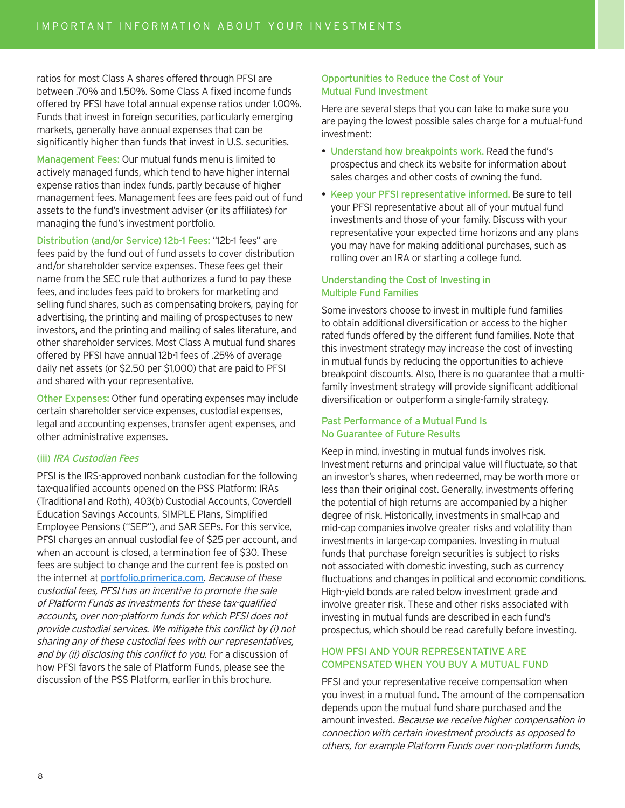ratios for most Class A shares offered through PFSI are between .70% and 1.50%. Some Class A fixed income funds offered by PFSI have total annual expense ratios under 1.00%. Funds that invest in foreign securities, particularly emerging markets, generally have annual expenses that can be significantly higher than funds that invest in U.S. securities.

Management Fees: Our mutual funds menu is limited to actively managed funds, which tend to have higher internal expense ratios than index funds, partly because of higher management fees. Management fees are fees paid out of fund assets to the fund's investment adviser (or its affiliates) for managing the fund's investment portfolio.

Distribution (and/or Service) 12b-1 Fees: "12b-1 fees" are fees paid by the fund out of fund assets to cover distribution and/or shareholder service expenses. These fees get their name from the SEC rule that authorizes a fund to pay these fees, and includes fees paid to brokers for marketing and selling fund shares, such as compensating brokers, paying for advertising, the printing and mailing of prospectuses to new investors, and the printing and mailing of sales literature, and other shareholder services. Most Class A mutual fund shares offered by PFSI have annual 12b-1 fees of .25% of average daily net assets (or \$2.50 per \$1,000) that are paid to PFSI and shared with your representative.

Other Expenses: Other fund operating expenses may include certain shareholder service expenses, custodial expenses, legal and accounting expenses, transfer agent expenses, and other administrative expenses.

### (iii) IRA Custodian Fees

PFSI is the IRS-approved nonbank custodian for the following tax-qualified accounts opened on the PSS Platform: IRAs (Traditional and Roth), 403(b) Custodial Accounts, Coverdell Education Savings Accounts, SIMPLE Plans, Simplified Employee Pensions ("SEP"), and SAR SEPs. For this service, PFSI charges an annual custodial fee of \$25 per account, and when an account is closed, a termination fee of \$30. These fees are subject to change and the current fee is posted on the internet at portfolio.primerica.com. Because of these custodial fees, PFSI has an incentive to promote the sale of Platform Funds as investments for these tax-qualified accounts, over non-platform funds for which PFSI does not provide custodial services. We mitigate this conflict by (i) not sharing any of these custodial fees with our representatives, and by (ii) disclosing this conflict to you. For a discussion of how PFSI favors the sale of Platform Funds, please see the discussion of the PSS Platform, earlier in this brochure.

### Opportunities to Reduce the Cost of Your Mutual Fund Investment

Here are several steps that you can take to make sure you are paying the lowest possible sales charge for a mutual-fund investment:

- Understand how breakpoints work. Read the fund's prospectus and check its website for information about sales charges and other costs of owning the fund.
- Keep your PFSI representative informed. Be sure to tell your PFSI representative about all of your mutual fund investments and those of your family. Discuss with your representative your expected time horizons and any plans you may have for making additional purchases, such as rolling over an IRA or starting a college fund.

### Understanding the Cost of Investing in Multiple Fund Families

Some investors choose to invest in multiple fund families to obtain additional diversification or access to the higher rated funds offered by the different fund families. Note that this investment strategy may increase the cost of investing in mutual funds by reducing the opportunities to achieve breakpoint discounts. Also, there is no guarantee that a multifamily investment strategy will provide significant additional diversification or outperform a single-family strategy.

### Past Performance of a Mutual Fund Is No Guarantee of Future Results

Keep in mind, investing in mutual funds involves risk. Investment returns and principal value will fluctuate, so that an investor's shares, when redeemed, may be worth more or less than their original cost. Generally, investments offering the potential of high returns are accompanied by a higher degree of risk. Historically, investments in small-cap and mid-cap companies involve greater risks and volatility than investments in large-cap companies. Investing in mutual funds that purchase foreign securities is subject to risks not associated with domestic investing, such as currency fluctuations and changes in political and economic conditions. High-yield bonds are rated below investment grade and involve greater risk. These and other risks associated with investing in mutual funds are described in each fund's prospectus, which should be read carefully before investing.

### HOW PFSI AND YOUR REPRESENTATIVE ARE COMPENSATED WHEN YOU BUY A MUTUAL FUND

PFSI and your representative receive compensation when you invest in a mutual fund. The amount of the compensation depends upon the mutual fund share purchased and the amount invested. Because we receive higher compensation in connection with certain investment products as opposed to others, for example Platform Funds over non-platform funds,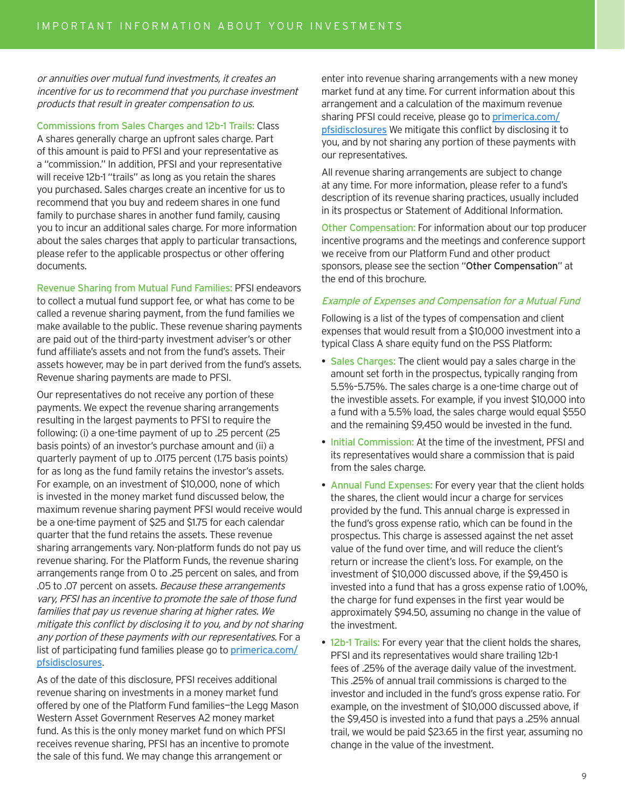or annuities over mutual fund investments, it creates an incentive for us to recommend that you purchase investment products that result in greater compensation to us.

Commissions from Sales Charges and 12b-1 Trails: Class A shares generally charge an upfront sales charge. Part of this amount is paid to PFSI and your representative as a "commission." In addition, PFSI and your representative will receive 12b-1 "trails" as long as you retain the shares you purchased. Sales charges create an incentive for us to recommend that you buy and redeem shares in one fund family to purchase shares in another fund family, causing you to incur an additional sales charge. For more information about the sales charges that apply to particular transactions, please refer to the applicable prospectus or other offering documents.

Revenue Sharing from Mutual Fund Families: PFSI endeavors to collect a mutual fund support fee, or what has come to be called a revenue sharing payment, from the fund families we make available to the public. These revenue sharing payments are paid out of the third-party investment adviser's or other fund affiliate's assets and not from the fund's assets. Their assets however, may be in part derived from the fund's assets. Revenue sharing payments are made to PFSI.

Our representatives do not receive any portion of these payments. We expect the revenue sharing arrangements resulting in the largest payments to PFSI to require the following: (i) a one-time payment of up to .25 percent (25 basis points) of an investor's purchase amount and (ii) a quarterly payment of up to .0175 percent (1.75 basis points) for as long as the fund family retains the investor's assets. For example, on an investment of \$10,000, none of which is invested in the money market fund discussed below, the maximum revenue sharing payment PFSI would receive would be a one-time payment of \$25 and \$1.75 for each calendar quarter that the fund retains the assets. These revenue sharing arrangements vary. Non-platform funds do not pay us revenue sharing. For the Platform Funds, the revenue sharing arrangements range from 0 to .25 percent on sales, and from .05 to .07 percent on assets. Because these arrangements vary, PFSI has an incentive to promote the sale of those fund families that pay us revenue sharing at higher rates. We mitigate this conflict by disclosing it to you, and by not sharing any portion of these payments with our representatives. For a list of participating fund families please go to *primerica.com/* pfsidisclosures.

As of the date of this disclosure, PFSI receives additional revenue sharing on investments in a money market fund offered by one of the Platform Fund families—the Legg Mason Western Asset Government Reserves A2 money market fund. As this is the only money market fund on which PFSI receives revenue sharing, PFSI has an incentive to promote the sale of this fund. We may change this arrangement or

enter into revenue sharing arrangements with a new money market fund at any time. For current information about this arrangement and a calculation of the maximum revenue sharing PFSI could receive, please go to *primerica.com/* pfsidisclosures We mitigate this conflict by disclosing it to you, and by not sharing any portion of these payments with our representatives.

All revenue sharing arrangements are subject to change at any time. For more information, please refer to a fund's description of its revenue sharing practices, usually included in its prospectus or Statement of Additional Information.

Other Compensation: For information about our top producer incentive programs and the meetings and conference support we receive from our Platform Fund and other product sponsors, please see the section "Other Compensation" at the end of this brochure.

### Example of Expenses and Compensation for a Mutual Fund

Following is a list of the types of compensation and client expenses that would result from a \$10,000 investment into a typical Class A share equity fund on the PSS Platform:

- Sales Charges: The client would pay a sales charge in the amount set forth in the prospectus, typically ranging from 5.5%–5.75%. The sales charge is a one-time charge out of the investible assets. For example, if you invest \$10,000 into a fund with a 5.5% load, the sales charge would equal \$550 and the remaining \$9,450 would be invested in the fund.
- Initial Commission: At the time of the investment, PFSI and its representatives would share a commission that is paid from the sales charge.
- Annual Fund Expenses: For every year that the client holds the shares, the client would incur a charge for services provided by the fund. This annual charge is expressed in the fund's gross expense ratio, which can be found in the prospectus. This charge is assessed against the net asset value of the fund over time, and will reduce the client's return or increase the client's loss. For example, on the investment of \$10,000 discussed above, if the \$9,450 is invested into a fund that has a gross expense ratio of 1.00%, the charge for fund expenses in the first year would be approximately \$94.50, assuming no change in the value of the investment.
- 12b-1 Trails: For every year that the client holds the shares, PFSI and its representatives would share trailing 12b-1 fees of .25% of the average daily value of the investment. This .25% of annual trail commissions is charged to the investor and included in the fund's gross expense ratio. For example, on the investment of \$10,000 discussed above, if the \$9,450 is invested into a fund that pays a .25% annual trail, we would be paid \$23.65 in the first year, assuming no change in the value of the investment.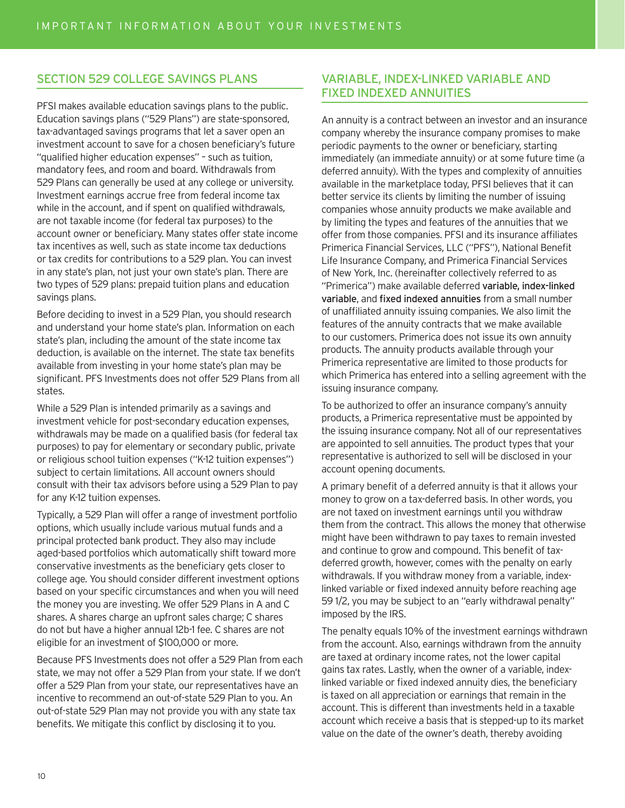### SECTION 529 COLLEGE SAVINGS PLANS

PFSI makes available education savings plans to the public. Education savings plans ("529 Plans") are state-sponsored, tax-advantaged savings programs that let a saver open an investment account to save for a chosen beneficiary's future "qualified higher education expenses" – such as tuition, mandatory fees, and room and board. Withdrawals from 529 Plans can generally be used at any college or university. Investment earnings accrue free from federal income tax while in the account, and if spent on qualified withdrawals, are not taxable income (for federal tax purposes) to the account owner or beneficiary. Many states offer state income tax incentives as well, such as state income tax deductions or tax credits for contributions to a 529 plan. You can invest in any state's plan, not just your own state's plan. There are two types of 529 plans: prepaid tuition plans and education savings plans.

Before deciding to invest in a 529 Plan, you should research and understand your home state's plan. Information on each state's plan, including the amount of the state income tax deduction, is available on the internet. The state tax benefits available from investing in your home state's plan may be significant. PFS Investments does not offer 529 Plans from all states.

While a 529 Plan is intended primarily as a savings and investment vehicle for post-secondary education expenses, withdrawals may be made on a qualified basis (for federal tax purposes) to pay for elementary or secondary public, private or religious school tuition expenses ("K-12 tuition expenses") subject to certain limitations. All account owners should consult with their tax advisors before using a 529 Plan to pay for any K-12 tuition expenses.

Typically, a 529 Plan will offer a range of investment portfolio options, which usually include various mutual funds and a principal protected bank product. They also may include aged-based portfolios which automatically shift toward more conservative investments as the beneficiary gets closer to college age. You should consider different investment options based on your specific circumstances and when you will need the money you are investing. We offer 529 Plans in A and C shares. A shares charge an upfront sales charge; C shares do not but have a higher annual 12b-1 fee. C shares are not eligible for an investment of \$100,000 or more.

Because PFS Investments does not offer a 529 Plan from each state, we may not offer a 529 Plan from your state. If we don't offer a 529 Plan from your state, our representatives have an incentive to recommend an out-of-state 529 Plan to you. An out-of-state 529 Plan may not provide you with any state tax benefits. We mitigate this conflict by disclosing it to you.

### VARIABLE, INDEX-LINKED VARIABLE AND FIXED INDEXED ANNUITIES

An annuity is a contract between an investor and an insurance company whereby the insurance company promises to make periodic payments to the owner or beneficiary, starting immediately (an immediate annuity) or at some future time (a deferred annuity). With the types and complexity of annuities available in the marketplace today, PFSI believes that it can better service its clients by limiting the number of issuing companies whose annuity products we make available and by limiting the types and features of the annuities that we offer from those companies. PFSI and its insurance affiliates Primerica Financial Services, LLC ("PFS"), National Benefit Life Insurance Company, and Primerica Financial Services of New York, Inc. (hereinafter collectively referred to as "Primerica") make available deferred variable, index-linked variable, and fixed indexed annuities from a small number of unaffiliated annuity issuing companies. We also limit the features of the annuity contracts that we make available to our customers. Primerica does not issue its own annuity products. The annuity products available through your Primerica representative are limited to those products for which Primerica has entered into a selling agreement with the issuing insurance company.

To be authorized to offer an insurance company's annuity products, a Primerica representative must be appointed by the issuing insurance company. Not all of our representatives are appointed to sell annuities. The product types that your representative is authorized to sell will be disclosed in your account opening documents.

A primary benefit of a deferred annuity is that it allows your money to grow on a tax-deferred basis. In other words, you are not taxed on investment earnings until you withdraw them from the contract. This allows the money that otherwise might have been withdrawn to pay taxes to remain invested and continue to grow and compound. This benefit of taxdeferred growth, however, comes with the penalty on early withdrawals. If you withdraw money from a variable, indexlinked variable or fixed indexed annuity before reaching age 59 1/2, you may be subject to an "early withdrawal penalty" imposed by the IRS.

The penalty equals 10% of the investment earnings withdrawn from the account. Also, earnings withdrawn from the annuity are taxed at ordinary income rates, not the lower capital gains tax rates. Lastly, when the owner of a variable, indexlinked variable or fixed indexed annuity dies, the beneficiary is taxed on all appreciation or earnings that remain in the account. This is different than investments held in a taxable account which receive a basis that is stepped-up to its market value on the date of the owner's death, thereby avoiding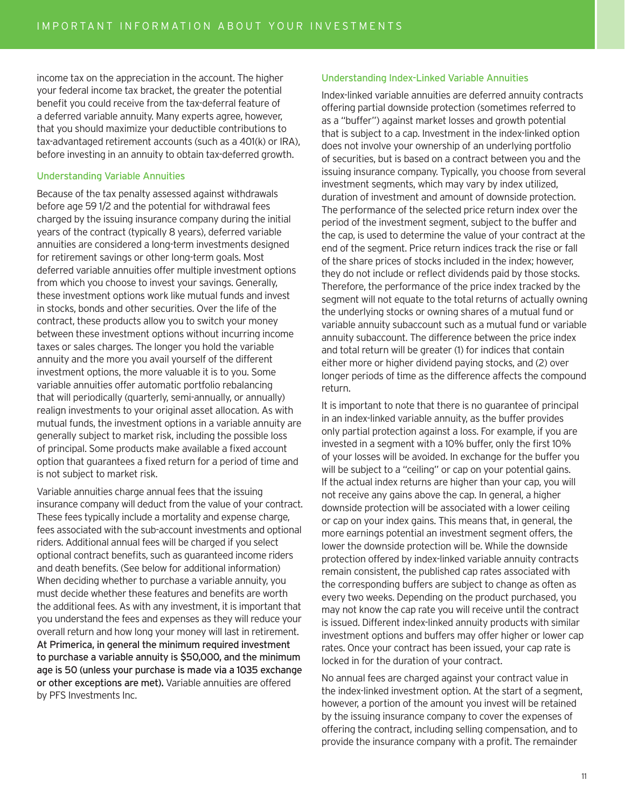income tax on the appreciation in the account. The higher your federal income tax bracket, the greater the potential benefit you could receive from the tax-deferral feature of a deferred variable annuity. Many experts agree, however, that you should maximize your deductible contributions to tax-advantaged retirement accounts (such as a 401(k) or IRA), before investing in an annuity to obtain tax-deferred growth.

### Understanding Variable Annuities

Because of the tax penalty assessed against withdrawals before age 59 1/2 and the potential for withdrawal fees charged by the issuing insurance company during the initial years of the contract (typically 8 years), deferred variable annuities are considered a long-term investments designed for retirement savings or other long-term goals. Most deferred variable annuities offer multiple investment options from which you choose to invest your savings. Generally, these investment options work like mutual funds and invest in stocks, bonds and other securities. Over the life of the contract, these products allow you to switch your money between these investment options without incurring income taxes or sales charges. The longer you hold the variable annuity and the more you avail yourself of the different investment options, the more valuable it is to you. Some variable annuities offer automatic portfolio rebalancing that will periodically (quarterly, semi-annually, or annually) realign investments to your original asset allocation. As with mutual funds, the investment options in a variable annuity are generally subject to market risk, including the possible loss of principal. Some products make available a fixed account option that guarantees a fixed return for a period of time and is not subject to market risk.

Variable annuities charge annual fees that the issuing insurance company will deduct from the value of your contract. These fees typically include a mortality and expense charge, fees associated with the sub-account investments and optional riders. Additional annual fees will be charged if you select optional contract benefits, such as guaranteed income riders and death benefits. (See below for additional information) When deciding whether to purchase a variable annuity, you must decide whether these features and benefits are worth the additional fees. As with any investment, it is important that you understand the fees and expenses as they will reduce your overall return and how long your money will last in retirement. At Primerica, in general the minimum required investment to purchase a variable annuity is \$50,000, and the minimum age is 50 (unless your purchase is made via a 1035 exchange or other exceptions are met). Variable annuities are offered by PFS Investments Inc.

### Understanding Index-Linked Variable Annuities

Index-linked variable annuities are deferred annuity contracts offering partial downside protection (sometimes referred to as a "buffer") against market losses and growth potential that is subject to a cap. Investment in the index-linked option does not involve your ownership of an underlying portfolio of securities, but is based on a contract between you and the issuing insurance company. Typically, you choose from several investment segments, which may vary by index utilized, duration of investment and amount of downside protection. The performance of the selected price return index over the period of the investment segment, subject to the buffer and the cap, is used to determine the value of your contract at the end of the segment. Price return indices track the rise or fall of the share prices of stocks included in the index; however, they do not include or reflect dividends paid by those stocks. Therefore, the performance of the price index tracked by the segment will not equate to the total returns of actually owning the underlying stocks or owning shares of a mutual fund or variable annuity subaccount such as a mutual fund or variable annuity subaccount. The difference between the price index and total return will be greater (1) for indices that contain either more or higher dividend paying stocks, and (2) over longer periods of time as the difference affects the compound return.

It is important to note that there is no guarantee of principal in an index-linked variable annuity, as the buffer provides only partial protection against a loss. For example, if you are invested in a segment with a 10% buffer, only the first 10% of your losses will be avoided. In exchange for the buffer you will be subject to a "ceiling" or cap on your potential gains. If the actual index returns are higher than your cap, you will not receive any gains above the cap. In general, a higher downside protection will be associated with a lower ceiling or cap on your index gains. This means that, in general, the more earnings potential an investment segment offers, the lower the downside protection will be. While the downside protection offered by index-linked variable annuity contracts remain consistent, the published cap rates associated with the corresponding buffers are subject to change as often as every two weeks. Depending on the product purchased, you may not know the cap rate you will receive until the contract is issued. Different index-linked annuity products with similar investment options and buffers may offer higher or lower cap rates. Once your contract has been issued, your cap rate is locked in for the duration of your contract.

No annual fees are charged against your contract value in the index-linked investment option. At the start of a segment, however, a portion of the amount you invest will be retained by the issuing insurance company to cover the expenses of offering the contract, including selling compensation, and to provide the insurance company with a profit. The remainder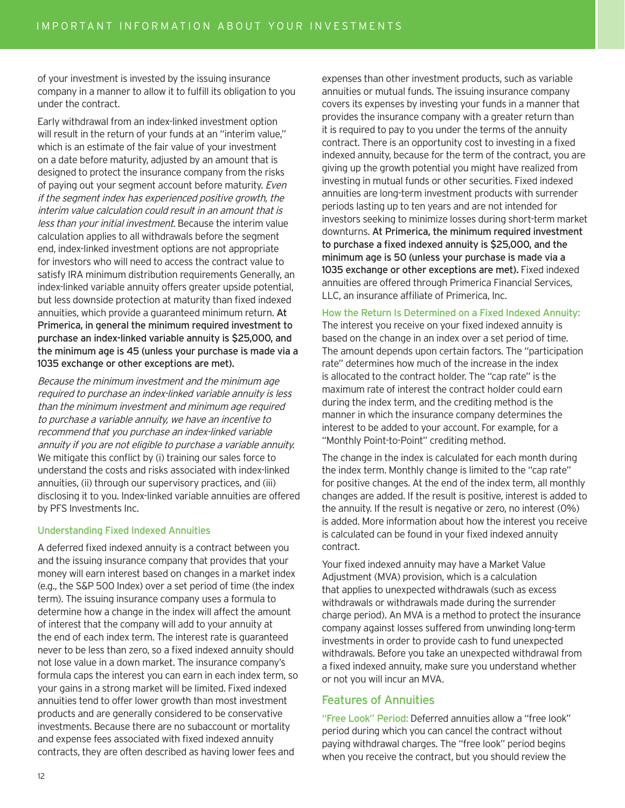of your investment is invested by the issuing insurance company in a manner to allow it to fulfill its obligation to you under the contract.

Early withdrawal from an index-linked investment option will result in the return of your funds at an "interim value," which is an estimate of the fair value of your investment on a date before maturity, adjusted by an amount that is designed to protect the insurance company from the risks of paying out your segment account before maturity. Even if the segment index has experienced positive growth, the interim value calculation could result in an amount that is less than your initial investment. Because the interim value calculation applies to all withdrawals before the segment end, index-linked investment options are not appropriate for investors who will need to access the contract value to satisfy IRA minimum distribution requirements Generally, an index-linked variable annuity offers greater upside potential, but less downside protection at maturity than fixed indexed annuities, which provide a guaranteed minimum return. At Primerica, in general the minimum required investment to purchase an index-linked variable annuity is \$25,000, and the minimum age is 45 (unless your purchase is made via a 1035 exchange or other exceptions are met).

Because the minimum investment and the minimum age required to purchase an index-linked variable annuity is less than the minimum investment and minimum age required to purchase a variable annuity, we have an incentive to recommend that you purchase an index-linked variable annuity if you are not eligible to purchase a variable annuity. We mitigate this conflict by (i) training our sales force to understand the costs and risks associated with index-linked annuities, (ii) through our supervisory practices, and (iii) disclosing it to you. Index-linked variable annuities are offered by PFS Investments Inc.

### Understanding Fixed Indexed Annuities

A deferred fixed indexed annuity is a contract between you and the issuing insurance company that provides that your money will earn interest based on changes in a market index (e.g., the S&P 500 Index) over a set period of time (the index term). The issuing insurance company uses a formula to determine how a change in the index will affect the amount of interest that the company will add to your annuity at the end of each index term. The interest rate is guaranteed never to be less than zero, so a fixed indexed annuity should not lose value in a down market. The insurance company's formula caps the interest you can earn in each index term, so your gains in a strong market will be limited. Fixed indexed annuities tend to offer lower growth than most investment products and are generally considered to be conservative investments. Because there are no subaccount or mortality and expense fees associated with fixed indexed annuity contracts, they are often described as having lower fees and

expenses than other investment products, such as variable annuities or mutual funds. The issuing insurance company covers its expenses by investing your funds in a manner that provides the insurance company with a greater return than it is required to pay to you under the terms of the annuity contract. There is an opportunity cost to investing in a fixed indexed annuity, because for the term of the contract, you are giving up the growth potential you might have realized from investing in mutual funds or other securities. Fixed indexed annuities are long-term investment products with surrender periods lasting up to ten years and are not intended for investors seeking to minimize losses during short-term market downturns. At Primerica, the minimum required investment to purchase a fixed indexed annuity is \$25,000, and the minimum age is 50 (unless your purchase is made via a 1035 exchange or other exceptions are met). Fixed indexed annuities are offered through Primerica Financial Services, LLC, an insurance affiliate of Primerica, Inc.

### How the Return Is Determined on a Fixed Indexed Annuity:

The interest you receive on your fixed indexed annuity is based on the change in an index over a set period of time. The amount depends upon certain factors. The "participation rate" determines how much of the increase in the index is allocated to the contract holder. The "cap rate" is the maximum rate of interest the contract holder could earn during the index term, and the crediting method is the manner in which the insurance company determines the interest to be added to your account. For example, for a "Monthly Point-to-Point" crediting method.

The change in the index is calculated for each month during the index term. Monthly change is limited to the "cap rate" for positive changes. At the end of the index term, all monthly changes are added. If the result is positive, interest is added to the annuity. If the result is negative or zero, no interest (0%) is added. More information about how the interest you receive is calculated can be found in your fixed indexed annuity contract.

Your fixed indexed annuity may have a Market Value Adjustment (MVA) provision, which is a calculation that applies to unexpected withdrawals (such as excess withdrawals or withdrawals made during the surrender charge period). An MVA is a method to protect the insurance company against losses suffered from unwinding long-term investments in order to provide cash to fund unexpected withdrawals. Before you take an unexpected withdrawal from a fixed indexed annuity, make sure you understand whether or not you will incur an MVA.

### Features of Annuities

"Free Look" Period: Deferred annuities allow a "free look" period during which you can cancel the contract without paying withdrawal charges. The "free look" period begins when you receive the contract, but you should review the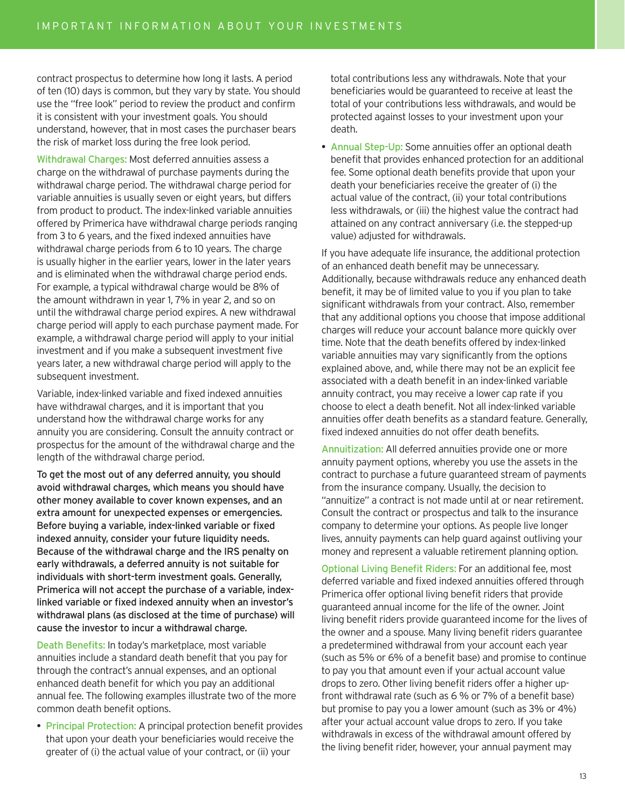contract prospectus to determine how long it lasts. A period of ten (10) days is common, but they vary by state. You should use the "free look" period to review the product and confirm it is consistent with your investment goals. You should understand, however, that in most cases the purchaser bears the risk of market loss during the free look period.

Withdrawal Charges: Most deferred annuities assess a charge on the withdrawal of purchase payments during the withdrawal charge period. The withdrawal charge period for variable annuities is usually seven or eight years, but differs from product to product. The index-linked variable annuities offered by Primerica have withdrawal charge periods ranging from 3 to 6 years, and the fixed indexed annuities have withdrawal charge periods from 6 to 10 years. The charge is usually higher in the earlier years, lower in the later years and is eliminated when the withdrawal charge period ends. For example, a typical withdrawal charge would be 8% of the amount withdrawn in year 1, 7% in year 2, and so on until the withdrawal charge period expires. A new withdrawal charge period will apply to each purchase payment made. For example, a withdrawal charge period will apply to your initial investment and if you make a subsequent investment five years later, a new withdrawal charge period will apply to the subsequent investment.

Variable, index-linked variable and fixed indexed annuities have withdrawal charges, and it is important that you understand how the withdrawal charge works for any annuity you are considering. Consult the annuity contract or prospectus for the amount of the withdrawal charge and the length of the withdrawal charge period.

To get the most out of any deferred annuity, you should avoid withdrawal charges, which means you should have other money available to cover known expenses, and an extra amount for unexpected expenses or emergencies. Before buying a variable, index-linked variable or fixed indexed annuity, consider your future liquidity needs. Because of the withdrawal charge and the IRS penalty on early withdrawals, a deferred annuity is not suitable for individuals with short-term investment goals. Generally, Primerica will not accept the purchase of a variable, indexlinked variable or fixed indexed annuity when an investor's withdrawal plans (as disclosed at the time of purchase) will cause the investor to incur a withdrawal charge.

Death Benefits: In today's marketplace, most variable annuities include a standard death benefit that you pay for through the contract's annual expenses, and an optional enhanced death benefit for which you pay an additional annual fee. The following examples illustrate two of the more common death benefit options.

• Principal Protection: A principal protection benefit provides that upon your death your beneficiaries would receive the greater of (i) the actual value of your contract, or (ii) your

total contributions less any withdrawals. Note that your beneficiaries would be guaranteed to receive at least the total of your contributions less withdrawals, and would be protected against losses to your investment upon your death.

• Annual Step-Up: Some annuities offer an optional death benefit that provides enhanced protection for an additional fee. Some optional death benefits provide that upon your death your beneficiaries receive the greater of (i) the actual value of the contract, (ii) your total contributions less withdrawals, or (iii) the highest value the contract had attained on any contract anniversary (i.e. the stepped-up value) adjusted for withdrawals.

If you have adequate life insurance, the additional protection of an enhanced death benefit may be unnecessary. Additionally, because withdrawals reduce any enhanced death benefit, it may be of limited value to you if you plan to take significant withdrawals from your contract. Also, remember that any additional options you choose that impose additional charges will reduce your account balance more quickly over time. Note that the death benefits offered by index-linked variable annuities may vary significantly from the options explained above, and, while there may not be an explicit fee associated with a death benefit in an index-linked variable annuity contract, you may receive a lower cap rate if you choose to elect a death benefit. Not all index-linked variable annuities offer death benefits as a standard feature. Generally, fixed indexed annuities do not offer death benefits.

Annuitization: All deferred annuities provide one or more annuity payment options, whereby you use the assets in the contract to purchase a future guaranteed stream of payments from the insurance company. Usually, the decision to "annuitize" a contract is not made until at or near retirement. Consult the contract or prospectus and talk to the insurance company to determine your options. As people live longer lives, annuity payments can help guard against outliving your money and represent a valuable retirement planning option.

Optional Living Benefit Riders: For an additional fee, most deferred variable and fixed indexed annuities offered through Primerica offer optional living benefit riders that provide guaranteed annual income for the life of the owner. Joint living benefit riders provide guaranteed income for the lives of the owner and a spouse. Many living benefit riders guarantee a predetermined withdrawal from your account each year (such as 5% or 6% of a benefit base) and promise to continue to pay you that amount even if your actual account value drops to zero. Other living benefit riders offer a higher upfront withdrawal rate (such as 6 % or 7% of a benefit base) but promise to pay you a lower amount (such as 3% or 4%) after your actual account value drops to zero. If you take withdrawals in excess of the withdrawal amount offered by the living benefit rider, however, your annual payment may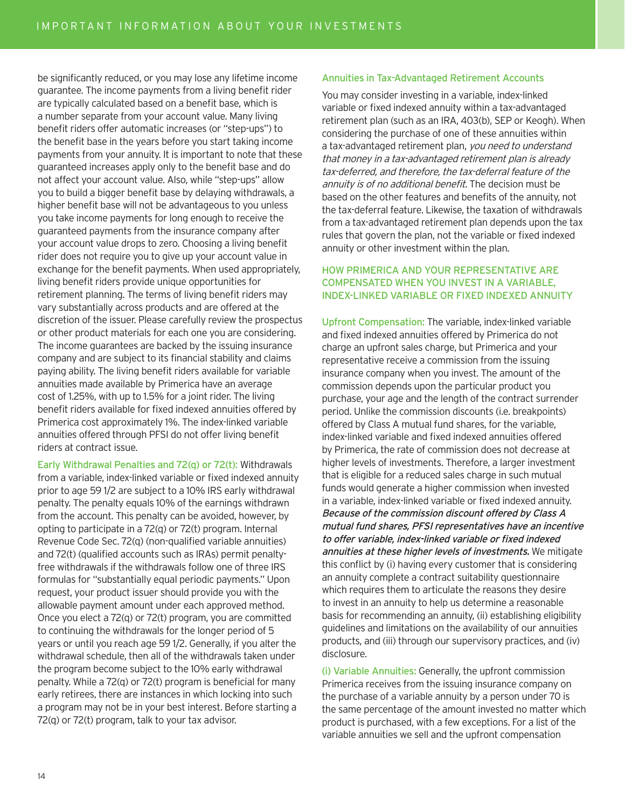be significantly reduced, or you may lose any lifetime income guarantee. The income payments from a living benefit rider are typically calculated based on a benefit base, which is a number separate from your account value. Many living benefit riders offer automatic increases (or "step-ups") to the benefit base in the years before you start taking income payments from your annuity. It is important to note that these guaranteed increases apply only to the benefit base and do not affect your account value. Also, while "step-ups" allow you to build a bigger benefit base by delaying withdrawals, a higher benefit base will not be advantageous to you unless you take income payments for long enough to receive the guaranteed payments from the insurance company after your account value drops to zero. Choosing a living benefit rider does not require you to give up your account value in exchange for the benefit payments. When used appropriately, living benefit riders provide unique opportunities for retirement planning. The terms of living benefit riders may vary substantially across products and are offered at the discretion of the issuer. Please carefully review the prospectus or other product materials for each one you are considering. The income guarantees are backed by the issuing insurance company and are subject to its financial stability and claims paying ability. The living benefit riders available for variable annuities made available by Primerica have an average cost of 1.25%, with up to 1.5% for a joint rider. The living benefit riders available for fixed indexed annuities offered by Primerica cost approximately 1%. The index-linked variable annuities offered through PFSI do not offer living benefit riders at contract issue.

Early Withdrawal Penalties and 72(q) or 72(t): Withdrawals from a variable, index-linked variable or fixed indexed annuity prior to age 59 1/2 are subject to a 10% IRS early withdrawal penalty. The penalty equals 10% of the earnings withdrawn from the account. This penalty can be avoided, however, by opting to participate in a 72(q) or 72(t) program. Internal Revenue Code Sec. 72(q) (non-qualified variable annuities) and 72(t) (qualified accounts such as IRAs) permit penaltyfree withdrawals if the withdrawals follow one of three IRS formulas for "substantially equal periodic payments." Upon request, your product issuer should provide you with the allowable payment amount under each approved method. Once you elect a 72(q) or 72(t) program, you are committed to continuing the withdrawals for the longer period of 5 years or until you reach age 59 1/2. Generally, if you alter the withdrawal schedule, then all of the withdrawals taken under the program become subject to the 10% early withdrawal penalty. While a 72(q) or 72(t) program is beneficial for many early retirees, there are instances in which locking into such a program may not be in your best interest. Before starting a 72(q) or 72(t) program, talk to your tax advisor.

### Annuities in Tax-Advantaged Retirement Accounts

You may consider investing in a variable, index-linked variable or fixed indexed annuity within a tax-advantaged retirement plan (such as an IRA, 403(b), SEP or Keogh). When considering the purchase of one of these annuities within a tax-advantaged retirement plan, you need to understand that money in a tax-advantaged retirement plan is already tax-deferred, and therefore, the tax-deferral feature of the annuity is of no additional benefit. The decision must be based on the other features and benefits of the annuity, not the tax-deferral feature. Likewise, the taxation of withdrawals from a tax-advantaged retirement plan depends upon the tax rules that govern the plan, not the variable or fixed indexed annuity or other investment within the plan.

### HOW PRIMERICA AND YOUR REPRESENTATIVE ARE COMPENSATED WHEN YOU INVEST IN A VARIABLE, INDEX-LINKED VARIABLE OR FIXED INDEXED ANNUITY

Upfront Compensation: The variable, index-linked variable and fixed indexed annuities offered by Primerica do not charge an upfront sales charge, but Primerica and your representative receive a commission from the issuing insurance company when you invest. The amount of the commission depends upon the particular product you purchase, your age and the length of the contract surrender period. Unlike the commission discounts (i.e. breakpoints) offered by Class A mutual fund shares, for the variable, index-linked variable and fixed indexed annuities offered by Primerica, the rate of commission does not decrease at higher levels of investments. Therefore, a larger investment that is eligible for a reduced sales charge in such mutual funds would generate a higher commission when invested in a variable, index-linked variable or fixed indexed annuity. Because of the commission discount offered by Class A mutual fund shares, PFSI representatives have an incentive to offer variable, index-linked variable or fixed indexed annuities at these higher levels of investments. We mitigate this conflict by (i) having every customer that is considering an annuity complete a contract suitability questionnaire which requires them to articulate the reasons they desire to invest in an annuity to help us determine a reasonable basis for recommending an annuity, (ii) establishing eligibility guidelines and limitations on the availability of our annuities products, and (iii) through our supervisory practices, and (iv) disclosure.

(i) Variable Annuities: Generally, the upfront commission Primerica receives from the issuing insurance company on the purchase of a variable annuity by a person under 70 is the same percentage of the amount invested no matter which product is purchased, with a few exceptions. For a list of the variable annuities we sell and the upfront compensation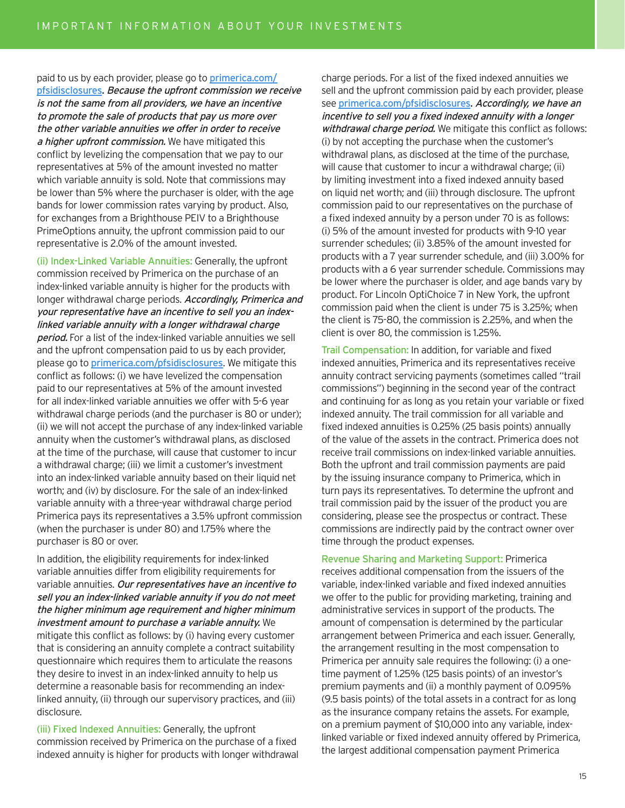paid to us by each provider, please go to primerica.com/ pfsidisclosures. Because the upfront commission we receive is not the same from all providers, we have an incentive to promote the sale of products that pay us more over the other variable annuities we offer in order to receive a higher upfront commission. We have mitigated this conflict by levelizing the compensation that we pay to our representatives at 5% of the amount invested no matter which variable annuity is sold. Note that commissions may be lower than 5% where the purchaser is older, with the age bands for lower commission rates varying by product. Also, for exchanges from a Brighthouse PEIV to a Brighthouse PrimeOptions annuity, the upfront commission paid to our representative is 2.0% of the amount invested.

(ii) Index-Linked Variable Annuities: Generally, the upfront commission received by Primerica on the purchase of an index-linked variable annuity is higher for the products with longer withdrawal charge periods. Accordingly, Primerica and your representative have an incentive to sell you an indexlinked variable annuity with a longer withdrawal charge period. For a list of the index-linked variable annuities we sell and the upfront compensation paid to us by each provider, please go to primerica.com/pfsidisclosures. We mitigate this conflict as follows: (i) we have levelized the compensation paid to our representatives at 5% of the amount invested for all index-linked variable annuities we offer with 5-6 year withdrawal charge periods (and the purchaser is 80 or under); (ii) we will not accept the purchase of any index-linked variable annuity when the customer's withdrawal plans, as disclosed at the time of the purchase, will cause that customer to incur a withdrawal charge; (iii) we limit a customer's investment into an index-linked variable annuity based on their liquid net worth; and (iv) by disclosure. For the sale of an index-linked variable annuity with a three-year withdrawal charge period Primerica pays its representatives a 3.5% upfront commission (when the purchaser is under 80) and 1.75% where the purchaser is 80 or over.

In addition, the eligibility requirements for index-linked variable annuities differ from eligibility requirements for variable annuities. Our representatives have an incentive to sell you an index-linked variable annuity if you do not meet the higher minimum age requirement and higher minimum investment amount to purchase a variable annuity. We mitigate this conflict as follows: by (i) having every customer that is considering an annuity complete a contract suitability questionnaire which requires them to articulate the reasons they desire to invest in an index-linked annuity to help us determine a reasonable basis for recommending an indexlinked annuity, (ii) through our supervisory practices, and (iii) disclosure.

(iii) Fixed Indexed Annuities: Generally, the upfront commission received by Primerica on the purchase of a fixed indexed annuity is higher for products with longer withdrawal charge periods. For a list of the fixed indexed annuities we sell and the upfront commission paid by each provider, please see primerica.com/pfsidisclosures. Accordingly, we have an incentive to sell you a fixed indexed annuity with a longer withdrawal charge period. We mitigate this conflict as follows: (i) by not accepting the purchase when the customer's withdrawal plans, as disclosed at the time of the purchase, will cause that customer to incur a withdrawal charge; (ii) by limiting investment into a fixed indexed annuity based on liquid net worth; and (iii) through disclosure. The upfront commission paid to our representatives on the purchase of a fixed indexed annuity by a person under 70 is as follows: (i) 5% of the amount invested for products with 9-10 year surrender schedules; (ii) 3.85% of the amount invested for products with a 7 year surrender schedule, and (iii) 3.00% for products with a 6 year surrender schedule. Commissions may be lower where the purchaser is older, and age bands vary by product. For Lincoln OptiChoice 7 in New York, the upfront commission paid when the client is under 75 is 3.25%; when the client is 75-80, the commission is 2.25%, and when the client is over 80, the commission is 1.25%.

Trail Compensation: In addition, for variable and fixed indexed annuities, Primerica and its representatives receive annuity contract servicing payments (sometimes called "trail commissions") beginning in the second year of the contract and continuing for as long as you retain your variable or fixed indexed annuity. The trail commission for all variable and fixed indexed annuities is 0.25% (25 basis points) annually of the value of the assets in the contract. Primerica does not receive trail commissions on index-linked variable annuities. Both the upfront and trail commission payments are paid by the issuing insurance company to Primerica, which in turn pays its representatives. To determine the upfront and trail commission paid by the issuer of the product you are considering, please see the prospectus or contract. These commissions are indirectly paid by the contract owner over time through the product expenses.

Revenue Sharing and Marketing Support: Primerica receives additional compensation from the issuers of the variable, index-linked variable and fixed indexed annuities we offer to the public for providing marketing, training and administrative services in support of the products. The amount of compensation is determined by the particular arrangement between Primerica and each issuer. Generally, the arrangement resulting in the most compensation to Primerica per annuity sale requires the following: (i) a onetime payment of 1.25% (125 basis points) of an investor's premium payments and (ii) a monthly payment of 0.095% (9.5 basis points) of the total assets in a contract for as long as the insurance company retains the assets. For example, on a premium payment of \$10,000 into any variable, indexlinked variable or fixed indexed annuity offered by Primerica, the largest additional compensation payment Primerica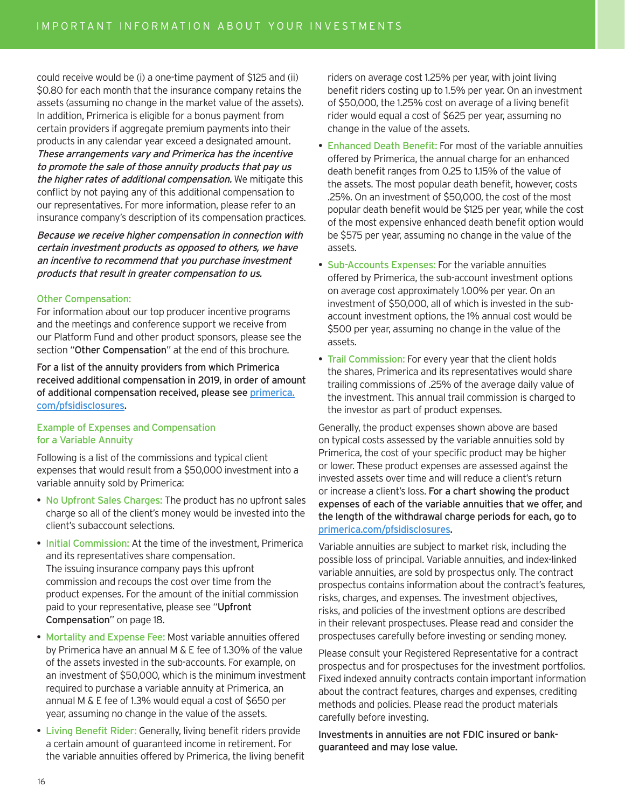could receive would be (i) a one-time payment of \$125 and (ii) \$0.80 for each month that the insurance company retains the assets (assuming no change in the market value of the assets). In addition, Primerica is eligible for a bonus payment from certain providers if aggregate premium payments into their products in any calendar year exceed a designated amount. These arrangements vary and Primerica has the incentive to promote the sale of those annuity products that pay us the higher rates of additional compensation. We mitigate this conflict by not paying any of this additional compensation to our representatives. For more information, please refer to an insurance company's description of its compensation practices.

Because we receive higher compensation in connection with certain investment products as opposed to others, we have an incentive to recommend that you purchase investment products that result in greater compensation to us.

### Other Compensation:

For information about our top producer incentive programs and the meetings and conference support we receive from our Platform Fund and other product sponsors, please see the section "Other Compensation" at the end of this brochure.

For a list of the annuity providers from which Primerica received additional compensation in 2019, in order of amount of additional compensation received, please see primerica. com/pfsidisclosures.

### Example of Expenses and Compensation for a Variable Annuity

Following is a list of the commissions and typical client expenses that would result from a \$50,000 investment into a variable annuity sold by Primerica:

- No Upfront Sales Charges: The product has no upfront sales charge so all of the client's money would be invested into the client's subaccount selections.
- Initial Commission: At the time of the investment, Primerica and its representatives share compensation. The issuing insurance company pays this upfront commission and recoups the cost over time from the product expenses. For the amount of the initial commission paid to your representative, please see "Upfront Compensation" on page 18.
- Mortality and Expense Fee: Most variable annuities offered by Primerica have an annual M & E fee of 1.30% of the value of the assets invested in the sub-accounts. For example, on an investment of \$50,000, which is the minimum investment required to purchase a variable annuity at Primerica, an annual M & E fee of 1.3% would equal a cost of \$650 per year, assuming no change in the value of the assets.
- Living Benefit Rider: Generally, living benefit riders provide a certain amount of guaranteed income in retirement. For the variable annuities offered by Primerica, the living benefit

riders on average cost 1.25% per year, with joint living benefit riders costing up to 1.5% per year. On an investment of \$50,000, the 1.25% cost on average of a living benefit rider would equal a cost of \$625 per year, assuming no change in the value of the assets.

- Enhanced Death Benefit: For most of the variable annuities offered by Primerica, the annual charge for an enhanced death benefit ranges from 0.25 to 1.15% of the value of the assets. The most popular death benefit, however, costs .25%. On an investment of \$50,000, the cost of the most popular death benefit would be \$125 per year, while the cost of the most expensive enhanced death benefit option would be \$575 per year, assuming no change in the value of the assets.
- Sub-Accounts Expenses: For the variable annuities offered by Primerica, the sub-account investment options on average cost approximately 1.00% per year. On an investment of \$50,000, all of which is invested in the subaccount investment options, the 1% annual cost would be \$500 per year, assuming no change in the value of the assets.
- Trail Commission: For every year that the client holds the shares, Primerica and its representatives would share trailing commissions of .25% of the average daily value of the investment. This annual trail commission is charged to the investor as part of product expenses.

Generally, the product expenses shown above are based on typical costs assessed by the variable annuities sold by Primerica, the cost of your specific product may be higher or lower. These product expenses are assessed against the invested assets over time and will reduce a client's return or increase a client's loss. For a chart showing the product expenses of each of the variable annuities that we offer, and the length of the withdrawal charge periods for each, go to primerica.com/pfsidisclosures.

Variable annuities are subject to market risk, including the possible loss of principal. Variable annuities, and index-linked variable annuities, are sold by prospectus only. The contract prospectus contains information about the contract's features, risks, charges, and expenses. The investment objectives, risks, and policies of the investment options are described in their relevant prospectuses. Please read and consider the prospectuses carefully before investing or sending money.

Please consult your Registered Representative for a contract prospectus and for prospectuses for the investment portfolios. Fixed indexed annuity contracts contain important information about the contract features, charges and expenses, crediting methods and policies. Please read the product materials carefully before investing.

Investments in annuities are not FDIC insured or bankguaranteed and may lose value.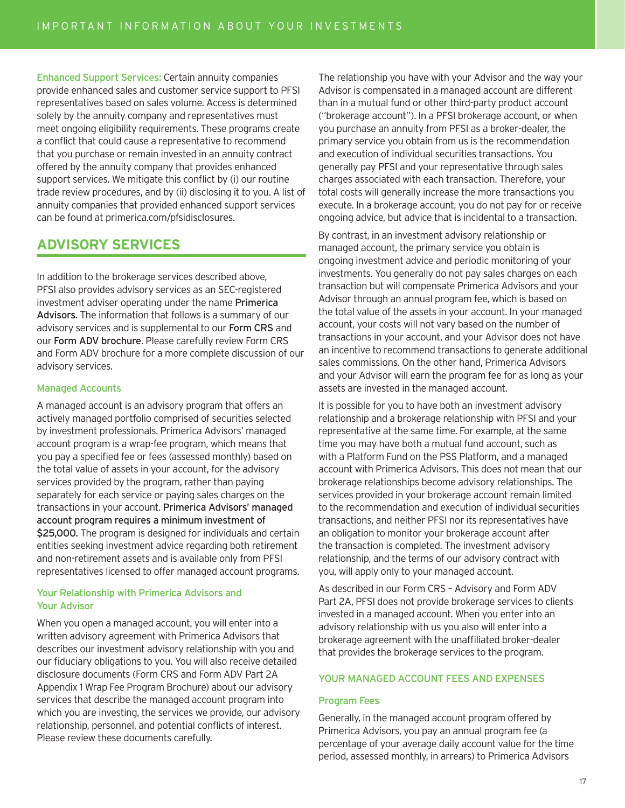Enhanced Support Services: Certain annuity companies provide enhanced sales and customer service support to PFSI representatives based on sales volume. Access is determined solely by the annuity company and representatives must meet ongoing eligibility requirements. These programs create a conflict that could cause a representative to recommend that you purchase or remain invested in an annuity contract offered by the annuity company that provides enhanced support services. We mitigate this conflict by (i) our routine trade review procedures, and by (ii) disclosing it to you. A list of annuity companies that provided enhanced support services can be found at primerica.com/pfsidisclosures.

# **ADVISORY SERVICES**

In addition to the brokerage services described above, PFSI also provides advisory services as an SEC-registered investment adviser operating under the name Primerica Advisors. The information that follows is a summary of our advisory services and is supplemental to our Form CRS and our Form ADV brochure. Please carefully review Form CRS and Form ADV brochure for a more complete discussion of our advisory services.

### Managed Accounts

A managed account is an advisory program that offers an actively managed portfolio comprised of securities selected by investment professionals. Primerica Advisors' managed account program is a wrap-fee program, which means that you pay a specified fee or fees (assessed monthly) based on the total value of assets in your account, for the advisory services provided by the program, rather than paying separately for each service or paying sales charges on the transactions in your account. Primerica Advisors' managed account program requires a minimum investment of \$25,000. The program is designed for individuals and certain entities seeking investment advice regarding both retirement and non-retirement assets and is available only from PFSI representatives licensed to offer managed account programs.

### Your Relationship with Primerica Advisors and Your Advisor

When you open a managed account, you will enter into a written advisory agreement with Primerica Advisors that describes our investment advisory relationship with you and our fiduciary obligations to you. You will also receive detailed disclosure documents (Form CRS and Form ADV Part 2A Appendix 1 Wrap Fee Program Brochure) about our advisory services that describe the managed account program into which you are investing, the services we provide, our advisory relationship, personnel, and potential conflicts of interest. Please review these documents carefully.

The relationship you have with your Advisor and the way your Advisor is compensated in a managed account are different than in a mutual fund or other third-party product account ("brokerage account"). In a PFSI brokerage account, or when you purchase an annuity from PFSI as a broker-dealer, the primary service you obtain from us is the recommendation and execution of individual securities transactions. You generally pay PFSI and your representative through sales charges associated with each transaction. Therefore, your total costs will generally increase the more transactions you execute. In a brokerage account, you do not pay for or receive ongoing advice, but advice that is incidental to a transaction.

By contrast, in an investment advisory relationship or managed account, the primary service you obtain is ongoing investment advice and periodic monitoring of your investments. You generally do not pay sales charges on each transaction but will compensate Primerica Advisors and your Advisor through an annual program fee, which is based on the total value of the assets in your account. In your managed account, your costs will not vary based on the number of transactions in your account, and your Advisor does not have an incentive to recommend transactions to generate additional sales commissions. On the other hand, Primerica Advisors and your Advisor will earn the program fee for as long as your assets are invested in the managed account.

It is possible for you to have both an investment advisory relationship and a brokerage relationship with PFSI and your representative at the same time. For example, at the same time you may have both a mutual fund account, such as with a Platform Fund on the PSS Platform, and a managed account with Primerica Advisors. This does not mean that our brokerage relationships become advisory relationships. The services provided in your brokerage account remain limited to the recommendation and execution of individual securities transactions, and neither PFSI nor its representatives have an obligation to monitor your brokerage account after the transaction is completed. The investment advisory relationship, and the terms of our advisory contract with you, will apply only to your managed account.

As described in our Form CRS – Advisory and Form ADV Part 2A, PFSI does not provide brokerage services to clients invested in a managed account. When you enter into an advisory relationship with us you also will enter into a brokerage agreement with the unaffiliated broker-dealer that provides the brokerage services to the program.

### YOUR MANAGED ACCOUNT FEES AND EXPENSES

### Program Fees

Generally, in the managed account program offered by Primerica Advisors, you pay an annual program fee (a percentage of your average daily account value for the time period, assessed monthly, in arrears) to Primerica Advisors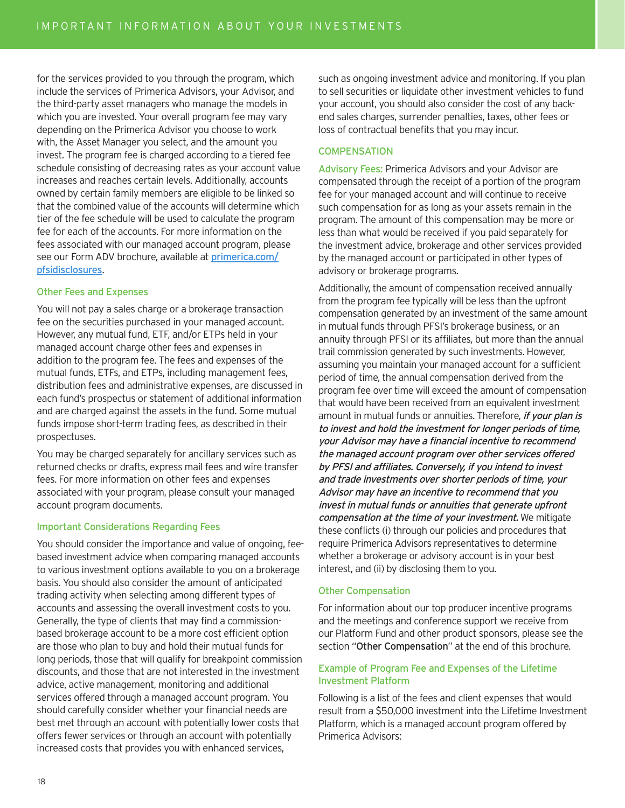for the services provided to you through the program, which include the services of Primerica Advisors, your Advisor, and the third-party asset managers who manage the models in which you are invested. Your overall program fee may vary depending on the Primerica Advisor you choose to work with, the Asset Manager you select, and the amount you invest. The program fee is charged according to a tiered fee schedule consisting of decreasing rates as your account value increases and reaches certain levels. Additionally, accounts owned by certain family members are eligible to be linked so that the combined value of the accounts will determine which tier of the fee schedule will be used to calculate the program fee for each of the accounts. For more information on the fees associated with our managed account program, please see our Form ADV brochure, available at primerica.com/ pfsidisclosures.

### Other Fees and Expenses

You will not pay a sales charge or a brokerage transaction fee on the securities purchased in your managed account. However, any mutual fund, ETF, and/or ETPs held in your managed account charge other fees and expenses in addition to the program fee. The fees and expenses of the mutual funds, ETFs, and ETPs, including management fees, distribution fees and administrative expenses, are discussed in each fund's prospectus or statement of additional information and are charged against the assets in the fund. Some mutual funds impose short-term trading fees, as described in their prospectuses.

You may be charged separately for ancillary services such as returned checks or drafts, express mail fees and wire transfer fees. For more information on other fees and expenses associated with your program, please consult your managed account program documents.

### Important Considerations Regarding Fees

You should consider the importance and value of ongoing, feebased investment advice when comparing managed accounts to various investment options available to you on a brokerage basis. You should also consider the amount of anticipated trading activity when selecting among different types of accounts and assessing the overall investment costs to you. Generally, the type of clients that may find a commissionbased brokerage account to be a more cost efficient option are those who plan to buy and hold their mutual funds for long periods, those that will qualify for breakpoint commission discounts, and those that are not interested in the investment advice, active management, monitoring and additional services offered through a managed account program. You should carefully consider whether your financial needs are best met through an account with potentially lower costs that offers fewer services or through an account with potentially increased costs that provides you with enhanced services,

such as ongoing investment advice and monitoring. If you plan to sell securities or liquidate other investment vehicles to fund your account, you should also consider the cost of any backend sales charges, surrender penalties, taxes, other fees or loss of contractual benefits that you may incur.

### **COMPENSATION**

Advisory Fees: Primerica Advisors and your Advisor are compensated through the receipt of a portion of the program fee for your managed account and will continue to receive such compensation for as long as your assets remain in the program. The amount of this compensation may be more or less than what would be received if you paid separately for the investment advice, brokerage and other services provided by the managed account or participated in other types of advisory or brokerage programs.

Additionally, the amount of compensation received annually from the program fee typically will be less than the upfront compensation generated by an investment of the same amount in mutual funds through PFSI's brokerage business, or an annuity through PFSI or its affiliates, but more than the annual trail commission generated by such investments. However, assuming you maintain your managed account for a sufficient period of time, the annual compensation derived from the program fee over time will exceed the amount of compensation that would have been received from an equivalent investment amount in mutual funds or annuities. Therefore, if your plan is to invest and hold the investment for longer periods of time, your Advisor may have a financial incentive to recommend the managed account program over other services offered by PFSI and affiliates. Conversely, if you intend to invest and trade investments over shorter periods of time, your Advisor may have an incentive to recommend that you invest in mutual funds or annuities that generate upfront compensation at the time of your investment. We mitigate these conflicts (i) through our policies and procedures that require Primerica Advisors representatives to determine whether a brokerage or advisory account is in your best interest, and (ii) by disclosing them to you.

### Other Compensation

For information about our top producer incentive programs and the meetings and conference support we receive from our Platform Fund and other product sponsors, please see the section "Other Compensation" at the end of this brochure.

### Example of Program Fee and Expenses of the Lifetime Investment Platform

Following is a list of the fees and client expenses that would result from a \$50,000 investment into the Lifetime Investment Platform, which is a managed account program offered by Primerica Advisors: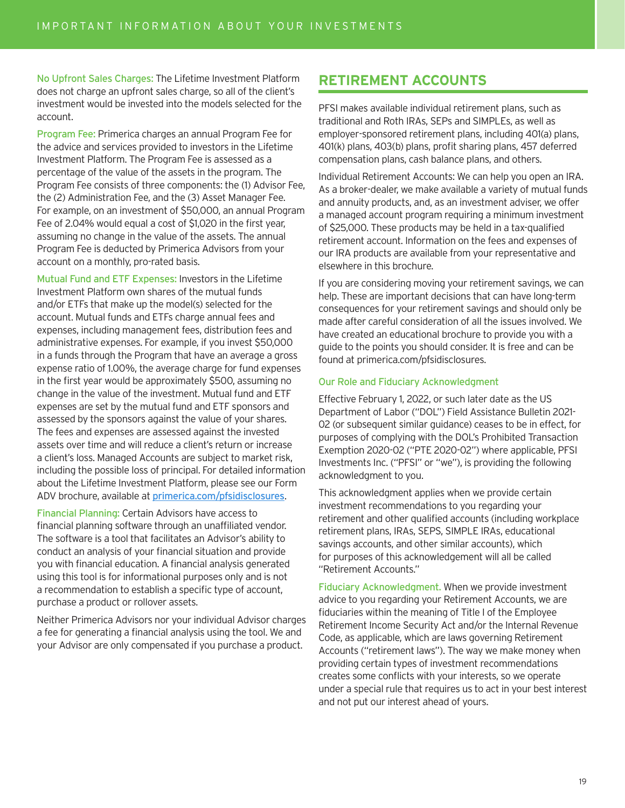No Upfront Sales Charges: The Lifetime Investment Platform does not charge an upfront sales charge, so all of the client's investment would be invested into the models selected for the account.

Program Fee: Primerica charges an annual Program Fee for the advice and services provided to investors in the Lifetime Investment Platform. The Program Fee is assessed as a percentage of the value of the assets in the program. The Program Fee consists of three components: the (1) Advisor Fee, the (2) Administration Fee, and the (3) Asset Manager Fee. For example, on an investment of \$50,000, an annual Program Fee of 2.04% would equal a cost of \$1,020 in the first year, assuming no change in the value of the assets. The annual Program Fee is deducted by Primerica Advisors from your account on a monthly, pro-rated basis.

Mutual Fund and ETF Expenses: Investors in the Lifetime Investment Platform own shares of the mutual funds and/or ETFs that make up the model(s) selected for the account. Mutual funds and ETFs charge annual fees and expenses, including management fees, distribution fees and administrative expenses. For example, if you invest \$50,000 in a funds through the Program that have an average a gross expense ratio of 1.00%, the average charge for fund expenses in the first year would be approximately \$500, assuming no change in the value of the investment. Mutual fund and ETF expenses are set by the mutual fund and ETF sponsors and assessed by the sponsors against the value of your shares. The fees and expenses are assessed against the invested assets over time and will reduce a client's return or increase a client's loss. Managed Accounts are subject to market risk, including the possible loss of principal. For detailed information about the Lifetime Investment Platform, please see our Form ADV brochure, available at primerica.com/pfsidisclosures.

Financial Planning: Certain Advisors have access to financial planning software through an unaffiliated vendor. The software is a tool that facilitates an Advisor's ability to conduct an analysis of your financial situation and provide you with financial education. A financial analysis generated using this tool is for informational purposes only and is not a recommendation to establish a specific type of account, purchase a product or rollover assets.

Neither Primerica Advisors nor your individual Advisor charges a fee for generating a financial analysis using the tool. We and your Advisor are only compensated if you purchase a product.

# **RETIREMENT ACCOUNTS**

PFSI makes available individual retirement plans, such as traditional and Roth IRAs, SEPs and SIMPLEs, as well as employer-sponsored retirement plans, including 401(a) plans, 401(k) plans, 403(b) plans, profit sharing plans, 457 deferred compensation plans, cash balance plans, and others.

Individual Retirement Accounts: We can help you open an IRA. As a broker-dealer, we make available a variety of mutual funds and annuity products, and, as an investment adviser, we offer a managed account program requiring a minimum investment of \$25,000. These products may be held in a tax-qualified retirement account. Information on the fees and expenses of our IRA products are available from your representative and elsewhere in this brochure.

If you are considering moving your retirement savings, we can help. These are important decisions that can have long-term consequences for your retirement savings and should only be made after careful consideration of all the issues involved. We have created an educational brochure to provide you with a guide to the points you should consider. It is free and can be found at primerica.com/pfsidisclosures.

### Our Role and Fiduciary Acknowledgment

Effective February 1, 2022, or such later date as the US Department of Labor ("DOL") Field Assistance Bulletin 2021- 02 (or subsequent similar guidance) ceases to be in effect, for purposes of complying with the DOL's Prohibited Transaction Exemption 2020-02 ("PTE 2020-02") where applicable, PFSI Investments Inc. ("PFSI" or "we"), is providing the following acknowledgment to you.

This acknowledgment applies when we provide certain investment recommendations to you regarding your retirement and other qualified accounts (including workplace retirement plans, IRAs, SEPS, SIMPLE IRAs, educational savings accounts, and other similar accounts), which for purposes of this acknowledgement will all be called "Retirement Accounts."

Fiduciary Acknowledgment. When we provide investment advice to you regarding your Retirement Accounts, we are fiduciaries within the meaning of Title I of the Employee Retirement Income Security Act and/or the Internal Revenue Code, as applicable, which are laws governing Retirement Accounts ("retirement laws"). The way we make money when providing certain types of investment recommendations creates some conflicts with your interests, so we operate under a special rule that requires us to act in your best interest and not put our interest ahead of yours.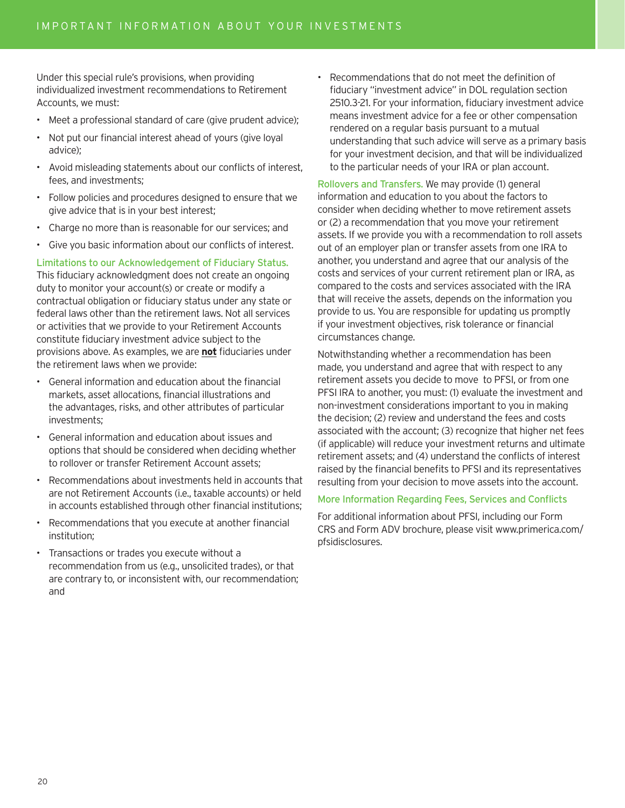Under this special rule's provisions, when providing individualized investment recommendations to Retirement Accounts, we must:

- Meet a professional standard of care (give prudent advice);
- Not put our financial interest ahead of yours (give loyal advice);
- Avoid misleading statements about our conflicts of interest, fees, and investments;
- Follow policies and procedures designed to ensure that we give advice that is in your best interest;
- Charge no more than is reasonable for our services; and
- Give you basic information about our conflicts of interest.

Limitations to our Acknowledgement of Fiduciary Status. This fiduciary acknowledgment does not create an ongoing duty to monitor your account(s) or create or modify a contractual obligation or fiduciary status under any state or federal laws other than the retirement laws. Not all services or activities that we provide to your Retirement Accounts constitute fiduciary investment advice subject to the provisions above. As examples, we are **not** fiduciaries under the retirement laws when we provide:

- General information and education about the financial markets, asset allocations, financial illustrations and the advantages, risks, and other attributes of particular investments;
- General information and education about issues and options that should be considered when deciding whether to rollover or transfer Retirement Account assets;
- Recommendations about investments held in accounts that are not Retirement Accounts (i.e., taxable accounts) or held in accounts established through other financial institutions;
- Recommendations that you execute at another financial institution;
- Transactions or trades you execute without a recommendation from us (e.g., unsolicited trades), or that are contrary to, or inconsistent with, our recommendation; and

• Recommendations that do not meet the definition of fiduciary "investment advice" in DOL regulation section 2510.3-21. For your information, fiduciary investment advice means investment advice for a fee or other compensation rendered on a regular basis pursuant to a mutual understanding that such advice will serve as a primary basis for your investment decision, and that will be individualized to the particular needs of your IRA or plan account.

Rollovers and Transfers. We may provide (1) general information and education to you about the factors to consider when deciding whether to move retirement assets or (2) a recommendation that you move your retirement assets. If we provide you with a recommendation to roll assets out of an employer plan or transfer assets from one IRA to another, you understand and agree that our analysis of the costs and services of your current retirement plan or IRA, as compared to the costs and services associated with the IRA that will receive the assets, depends on the information you provide to us. You are responsible for updating us promptly if your investment objectives, risk tolerance or financial circumstances change.

Notwithstanding whether a recommendation has been made, you understand and agree that with respect to any retirement assets you decide to move to PFSI, or from one PFSI IRA to another, you must: (1) evaluate the investment and non-investment considerations important to you in making the decision; (2) review and understand the fees and costs associated with the account; (3) recognize that higher net fees (if applicable) will reduce your investment returns and ultimate retirement assets; and (4) understand the conflicts of interest raised by the financial benefits to PFSI and its representatives resulting from your decision to move assets into the account.

### More Information Regarding Fees, Services and Conflicts

For additional information about PFSI, including our Form CRS and Form ADV brochure, please visit www.primerica.com/ pfsidisclosures.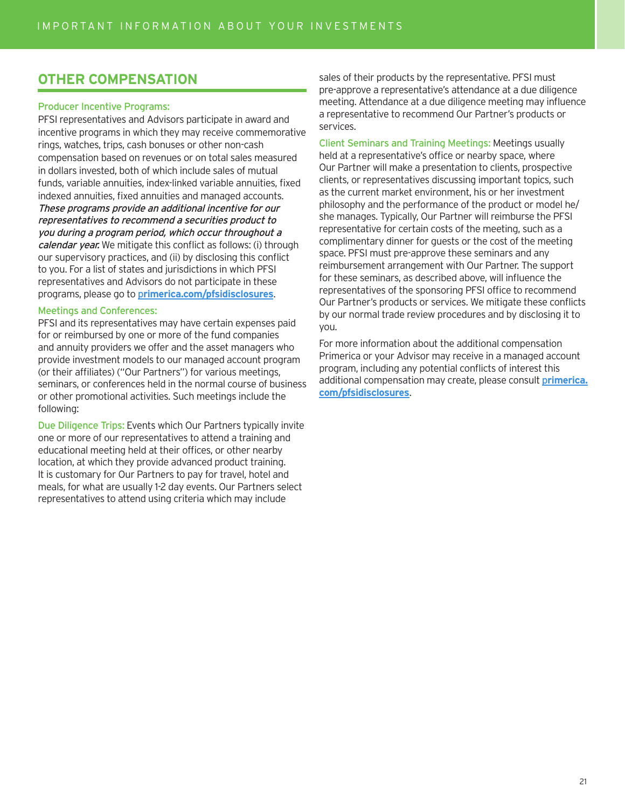# **OTHER COMPENSATION**

### Producer Incentive Programs:

PFSI representatives and Advisors participate in award and incentive programs in which they may receive commemorative rings, watches, trips, cash bonuses or other non-cash compensation based on revenues or on total sales measured in dollars invested, both of which include sales of mutual funds, variable annuities, index-linked variable annuities, fixed indexed annuities, fixed annuities and managed accounts. These programs provide an additional incentive for our representatives to recommend a securities product to you during a program period, which occur throughout a calendar year. We mitigate this conflict as follows: (i) through our supervisory practices, and (ii) by disclosing this conflict to you. For a list of states and jurisdictions in which PFSI representatives and Advisors do not participate in these programs, please go to p**rimerica.com/pfsidisclosures**.

### Meetings and Conferences:

PFSI and its representatives may have certain expenses paid for or reimbursed by one or more of the fund companies and annuity providers we offer and the asset managers who provide investment models to our managed account program (or their affiliates) ("Our Partners") for various meetings, seminars, or conferences held in the normal course of business or other promotional activities. Such meetings include the following:

Due Diligence Trips: Events which Our Partners typically invite one or more of our representatives to attend a training and educational meeting held at their offices, or other nearby location, at which they provide advanced product training. It is customary for Our Partners to pay for travel, hotel and meals, for what are usually 1-2 day events. Our Partners select representatives to attend using criteria which may include

sales of their products by the representative. PFSI must pre-approve a representative's attendance at a due diligence meeting. Attendance at a due diligence meeting may influence a representative to recommend Our Partner's products or services.

Client Seminars and Training Meetings: Meetings usually held at a representative's office or nearby space, where Our Partner will make a presentation to clients, prospective clients, or representatives discussing important topics, such as the current market environment, his or her investment philosophy and the performance of the product or model he/ she manages. Typically, Our Partner will reimburse the PFSI representative for certain costs of the meeting, such as a complimentary dinner for guests or the cost of the meeting space. PFSI must pre-approve these seminars and any reimbursement arrangement with Our Partner. The support for these seminars, as described above, will influence the representatives of the sponsoring PFSI office to recommend Our Partner's products or services. We mitigate these conflicts by our normal trade review procedures and by disclosing it to you.

For more information about the additional compensation Primerica or your Advisor may receive in a managed account program, including any potential conflicts of interest this additional compensation may create, please consult p**rimerica. com/pfsidisclosures**.